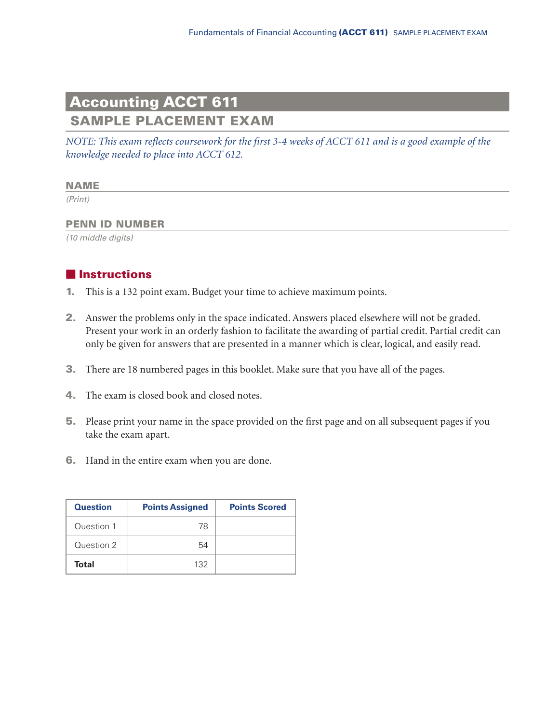# **Accounting ACCT 611**

**SAMPLE PLACEMENT EXAM**

*NOTE: This exam reflects coursework for the first 3-4 weeks of ACCT 611 and is a good example of the knowledge needed to place into ACCT 612.*

#### **NAME**

*(Print)*

#### **PENN ID NUMBER**

*(10 middle digits)*

# **Instructions**

- **1.** This is a 132 point exam. Budget your time to achieve maximum points.
- **2.** Answer the problems only in the space indicated. Answers placed elsewhere will not be graded. Present your work in an orderly fashion to facilitate the awarding of partial credit. Partial credit can only be given for answers that are presented in a manner which is clear, logical, and easily read.
- **3.** There are 18 numbered pages in this booklet. Make sure that you have all of the pages.
- **4.** The exam is closed book and closed notes.
- **5.** Please print your name in the space provided on the first page and on all subsequent pages if you take the exam apart.
- **6.** Hand in the entire exam when you are done.

| <b>Question</b> | <b>Points Assigned</b> | <b>Points Scored</b> |
|-----------------|------------------------|----------------------|
| Question 1      | 78                     |                      |
| Question 2      | 54                     |                      |
| Total           | 132                    |                      |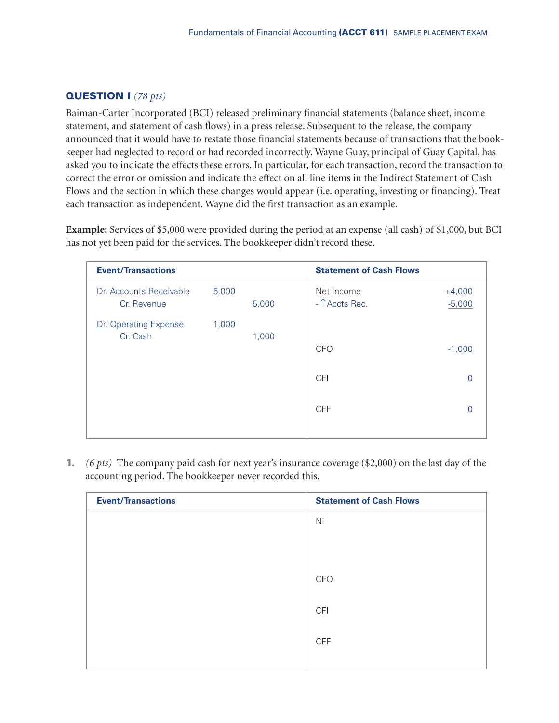# **QUESTION I** *(78 pts)*

Baiman-Carter Incorporated (BCI) released preliminary financial statements (balance sheet, income statement, and statement of cash flows) in a press release. Subsequent to the release, the company announced that it would have to restate those financial statements because of transactions that the bookkeeper had neglected to record or had recorded incorrectly. Wayne Guay, principal of Guay Capital, has asked you to indicate the effects these errors. In particular, for each transaction, record the transaction to correct the error or omission and indicate the effect on all line items in the Indirect Statement of Cash Flows and the section in which these changes would appear (i.e. operating, investing or financing). Treat each transaction as independent. Wayne did the first transaction as an example.

**Example:** Services of \$5,000 were provided during the period at an expense (all cash) of \$1,000, but BCI has not yet been paid for the services. The bookkeeper didn't record these.

| <b>Event/Transactions</b>              |       |       | <b>Statement of Cash Flows</b> |                      |
|----------------------------------------|-------|-------|--------------------------------|----------------------|
| Dr. Accounts Receivable<br>Cr. Revenue | 5,000 | 5,000 | Net Income<br>- TAccts Rec.    | $+4,000$<br>$-5,000$ |
| Dr. Operating Expense<br>Cr. Cash      | 1,000 | 1,000 | <b>CFO</b>                     | $-1,000$             |
|                                        |       |       | <b>CFI</b>                     | 0                    |
|                                        |       |       | <b>CFF</b>                     |                      |
|                                        |       |       |                                |                      |

**1.** *(6 pts)* The company paid cash for next year's insurance coverage (\$2,000) on the last day of the accounting period. The bookkeeper never recorded this.

| <b>Event/Transactions</b> | <b>Statement of Cash Flows</b> |
|---------------------------|--------------------------------|
|                           | N <sub>l</sub>                 |
|                           |                                |
|                           |                                |
|                           | <b>CFO</b>                     |
|                           | <b>CFI</b>                     |
|                           |                                |
|                           | <b>CFF</b>                     |
|                           |                                |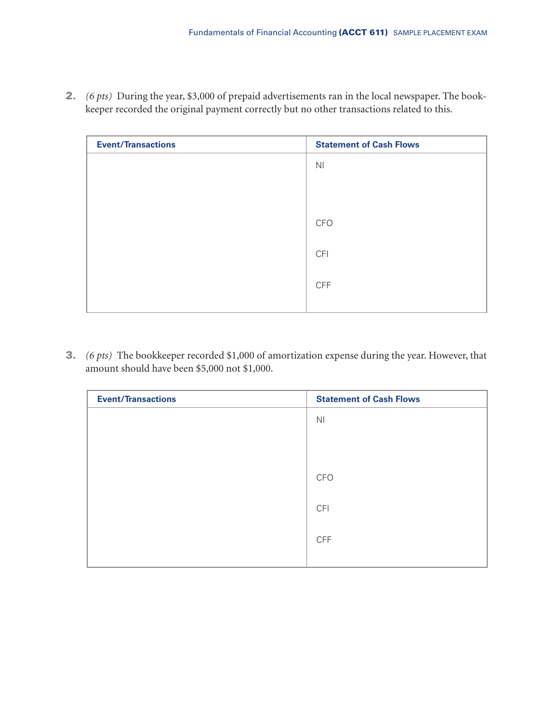**2.** *(6 pts)* During the year, \$3,000 of prepaid advertisements ran in the local newspaper. The bookkeeper recorded the original payment correctly but no other transactions related to this.

| <b>Event/Transactions</b> | <b>Statement of Cash Flows</b> |
|---------------------------|--------------------------------|
|                           | N <sub>l</sub>                 |
|                           |                                |
|                           |                                |
|                           | CFO                            |
|                           | <b>CFI</b>                     |
|                           |                                |
|                           | <b>CFF</b>                     |
|                           |                                |

**3.** *(6 pts)* The bookkeeper recorded \$1,000 of amortization expense during the year. However, that amount should have been \$5,000 not \$1,000.

| <b>Event/Transactions</b> | <b>Statement of Cash Flows</b> |
|---------------------------|--------------------------------|
|                           | N <sub>l</sub>                 |
|                           |                                |
|                           |                                |
|                           | <b>CFO</b>                     |
|                           |                                |
|                           | <b>CFI</b>                     |
|                           |                                |
|                           | <b>CFF</b>                     |
|                           |                                |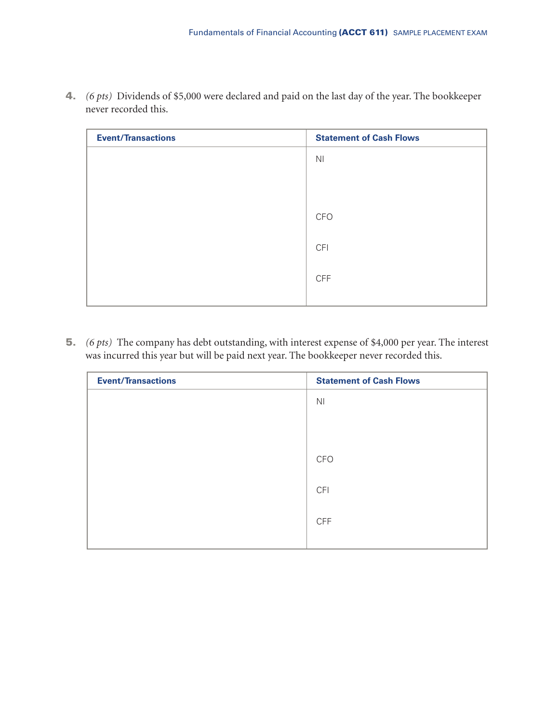| <b>Event/Transactions</b> | <b>Statement of Cash Flows</b> |
|---------------------------|--------------------------------|
|                           | N <sub>l</sub>                 |
|                           |                                |
|                           |                                |
|                           | <b>CFO</b>                     |
|                           | <b>CFI</b>                     |
|                           | <b>CFF</b>                     |
|                           |                                |

**4.** *(6 pts)* Dividends of \$5,000 were declared and paid on the last day of the year. The bookkeeper never recorded this.

**5.** *(6 pts)* The company has debt outstanding, with interest expense of \$4,000 per year. The interest was incurred this year but will be paid next year. The bookkeeper never recorded this.

| <b>Event/Transactions</b> | <b>Statement of Cash Flows</b> |
|---------------------------|--------------------------------|
|                           | N <sub>l</sub>                 |
|                           |                                |
|                           |                                |
|                           | <b>CFO</b>                     |
|                           |                                |
|                           | <b>CFI</b>                     |
|                           | <b>CFF</b>                     |
|                           |                                |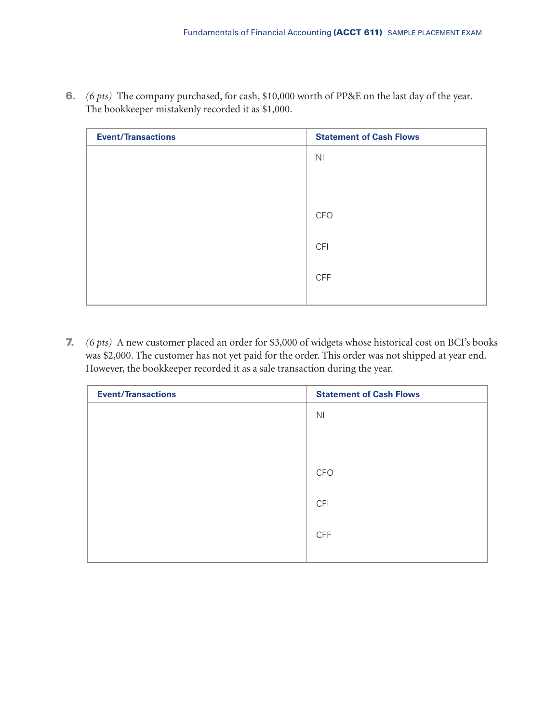| <b>Event/Transactions</b> | <b>Statement of Cash Flows</b> |
|---------------------------|--------------------------------|
|                           | N <sub>l</sub>                 |
|                           |                                |
|                           |                                |
|                           | <b>CFO</b>                     |
|                           | <b>CFI</b>                     |
|                           | <b>CFF</b>                     |
|                           |                                |

**6.** *(6 pts)* The company purchased, for cash, \$10,000 worth of PP&E on the last day of the year. The bookkeeper mistakenly recorded it as \$1,000.

**7.** *(6 pts)* A new customer placed an order for \$3,000 of widgets whose historical cost on BCI's books was \$2,000. The customer has not yet paid for the order. This order was not shipped at year end. However, the bookkeeper recorded it as a sale transaction during the year.

| <b>Event/Transactions</b> | <b>Statement of Cash Flows</b> |
|---------------------------|--------------------------------|
|                           | N <sub>1</sub>                 |
|                           |                                |
|                           |                                |
|                           | <b>CFO</b>                     |
|                           | <b>CFI</b>                     |
|                           |                                |
|                           | <b>CFF</b>                     |
|                           |                                |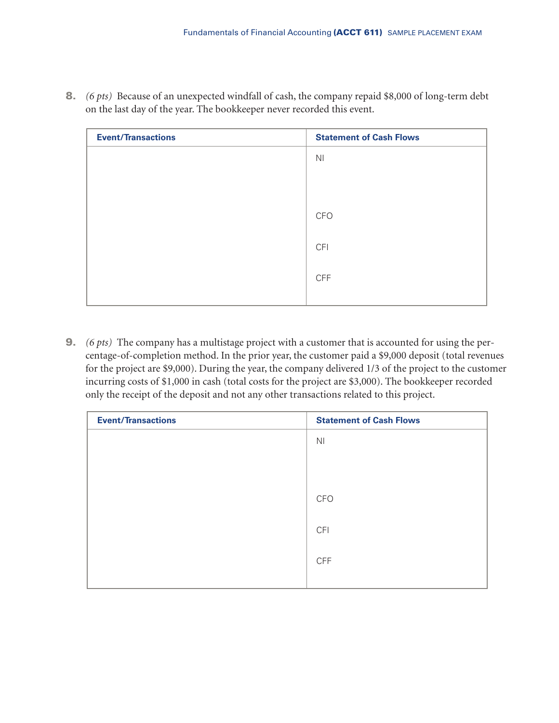| <b>Event/Transactions</b> | <b>Statement of Cash Flows</b> |
|---------------------------|--------------------------------|
|                           | N <sub>1</sub>                 |
|                           |                                |
|                           |                                |
|                           | <b>CFO</b>                     |
|                           |                                |
|                           | <b>CFI</b>                     |
|                           | <b>CFF</b>                     |
|                           |                                |

**8.** *(6 pts)* Because of an unexpected windfall of cash, the company repaid \$8,000 of long-term debt on the last day of the year. The bookkeeper never recorded this event.

**9.** *(6 pts)* The company has a multistage project with a customer that is accounted for using the percentage-of-completion method. In the prior year, the customer paid a \$9,000 deposit (total revenues for the project are \$9,000). During the year, the company delivered 1/3 of the project to the customer incurring costs of \$1,000 in cash (total costs for the project are \$3,000). The bookkeeper recorded only the receipt of the deposit and not any other transactions related to this project.

| <b>Event/Transactions</b> | <b>Statement of Cash Flows</b> |
|---------------------------|--------------------------------|
|                           | N <sub>l</sub>                 |
|                           |                                |
|                           |                                |
|                           | <b>CFO</b>                     |
|                           |                                |
|                           | <b>CFI</b>                     |
|                           | <b>CFF</b>                     |
|                           |                                |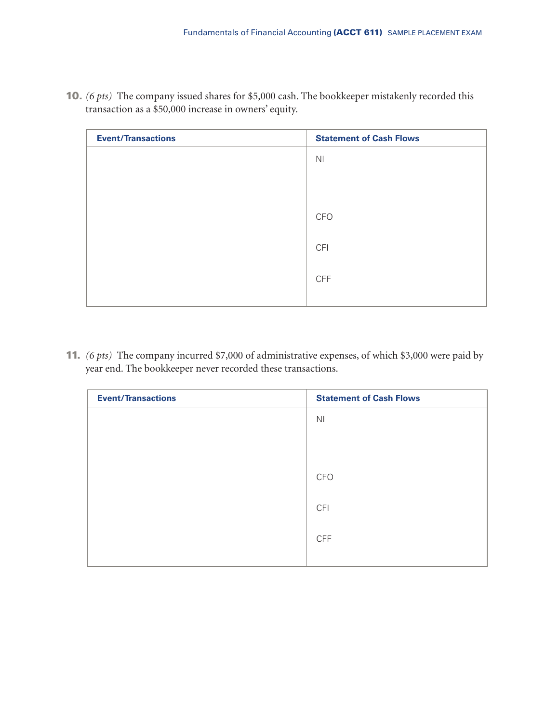| <b>Event/Transactions</b> | <b>Statement of Cash Flows</b> |
|---------------------------|--------------------------------|
|                           | N <sub>l</sub>                 |
|                           |                                |
|                           |                                |
|                           | <b>CFO</b>                     |
|                           |                                |
|                           | <b>CFI</b>                     |
|                           | <b>CFF</b>                     |
|                           |                                |

**10.** *(6 pts)* The company issued shares for \$5,000 cash. The bookkeeper mistakenly recorded this transaction as a \$50,000 increase in owners' equity.

**11.** *(6 pts)* The company incurred \$7,000 of administrative expenses, of which \$3,000 were paid by year end. The bookkeeper never recorded these transactions.

| <b>Event/Transactions</b> | <b>Statement of Cash Flows</b> |
|---------------------------|--------------------------------|
|                           | N <sub>l</sub>                 |
|                           |                                |
|                           |                                |
|                           | <b>CFO</b>                     |
|                           |                                |
|                           | <b>CFI</b>                     |
|                           | <b>CFF</b>                     |
|                           |                                |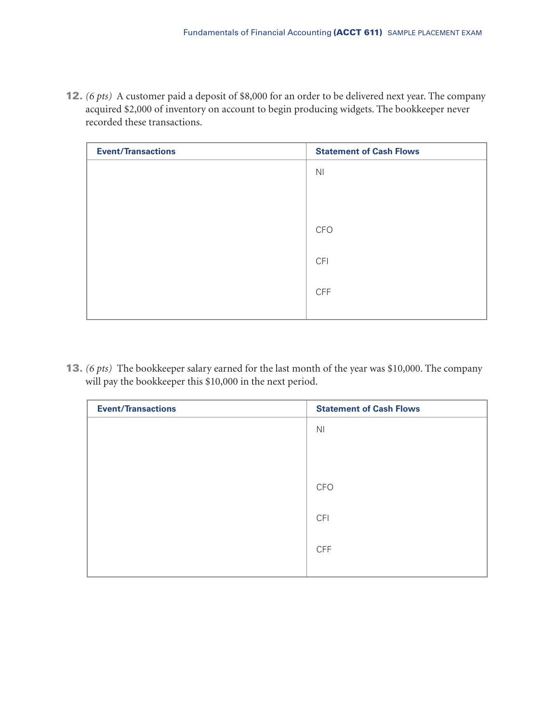**12.** *(6 pts)* A customer paid a deposit of \$8,000 for an order to be delivered next year. The company acquired \$2,000 of inventory on account to begin producing widgets. The bookkeeper never recorded these transactions.

| <b>Event/Transactions</b> | <b>Statement of Cash Flows</b> |
|---------------------------|--------------------------------|
|                           | N <sub>l</sub>                 |
|                           |                                |
|                           |                                |
|                           | <b>CFO</b>                     |
|                           | <b>CFI</b>                     |
|                           |                                |
|                           | <b>CFF</b>                     |
|                           |                                |

**13.** *(6 pts)* The bookkeeper salary earned for the last month of the year was \$10,000. The company will pay the bookkeeper this \$10,000 in the next period.

| <b>Event/Transactions</b> | <b>Statement of Cash Flows</b> |
|---------------------------|--------------------------------|
|                           | N <sub>l</sub>                 |
|                           |                                |
|                           |                                |
|                           | <b>CFO</b>                     |
|                           | <b>CFI</b>                     |
|                           |                                |
|                           | <b>CFF</b>                     |
|                           |                                |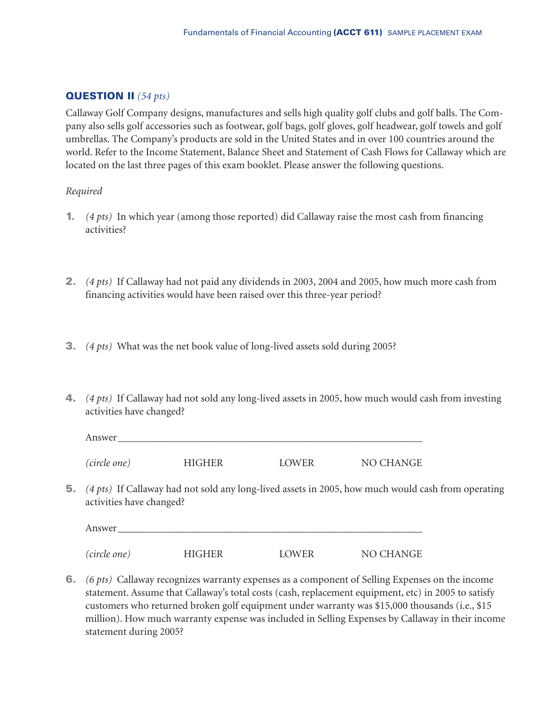# **QUESTION II** *(54 pts)*

Callaway Golf Company designs, manufactures and sells high quality golf clubs and golf balls. The Company also sells golf accessories such as footwear, golf bags, golf gloves, golf headwear, golf towels and golf umbrellas. The Company's products are sold in the United States and in over 100 countries around the world. Refer to the Income Statement, Balance Sheet and Statement of Cash Flows for Callaway which are located on the last three pages of this exam booklet. Please answer the following questions.

#### *Required*

- **1.** *(4 pts)* In which year (among those reported) did Callaway raise the most cash from financing activities?
- **2.** *(4 pts)* If Callaway had not paid any dividends in 2003, 2004 and 2005, how much more cash from financing activities would have been raised over this three-year period?
- **3.** *(4 pts)* What was the net book value of long-lived assets sold during 2005?
- **4.** *(4 pts)* If Callaway had not sold any long-lived assets in 2005, how much would cash from investing activities have changed?

| Answer       |               |       |           |
|--------------|---------------|-------|-----------|
| (circle one) | <b>HIGHER</b> | LOWER | NO CHANGE |

**5.** *(4 pts)* If Callaway had not sold any long-lived assets in 2005, how much would cash from operating activities have changed?

| Answer       |               |       |           |
|--------------|---------------|-------|-----------|
| (circle one) | <b>HIGHER</b> | LOWER | NO CHANGE |

**6.** *(6 pts)* Callaway recognizes warranty expenses as a component of Selling Expenses on the income statement. Assume that Callaway's total costs (cash, replacement equipment, etc) in 2005 to satisfy customers who returned broken golf equipment under warranty was \$15,000 thousands (i.e., \$15 million). How much warranty expense was included in Selling Expenses by Callaway in their income statement during 2005?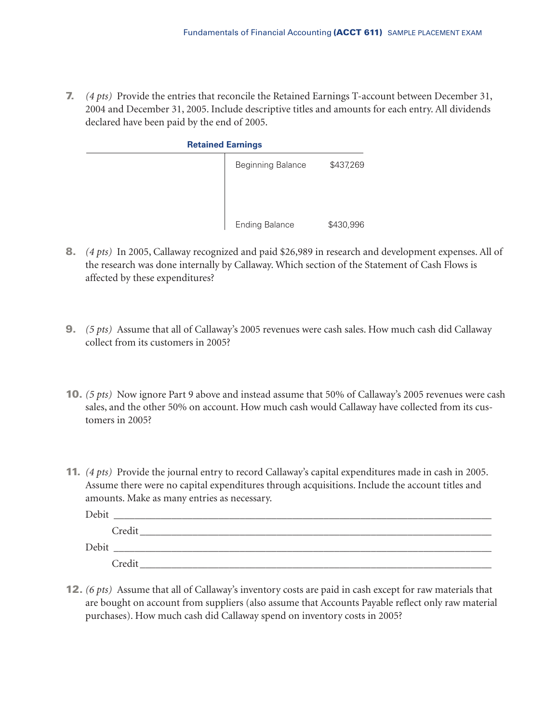**7.** *(4 pts)* Provide the entries that reconcile the Retained Earnings T-account between December 31, 2004 and December 31, 2005. Include descriptive titles and amounts for each entry. All dividends declared have been paid by the end of 2005.

| <b>Retained Earnings</b> |                          |           |  |  |
|--------------------------|--------------------------|-----------|--|--|
|                          | <b>Beginning Balance</b> | \$437,269 |  |  |
|                          | <b>Ending Balance</b>    | \$430,996 |  |  |

- **8.** *(4 pts)* In 2005, Callaway recognized and paid \$26,989 in research and development expenses. All of the research was done internally by Callaway. Which section of the Statement of Cash Flows is affected by these expenditures?
- **9.** *(5 pts)* Assume that all of Callaway's 2005 revenues were cash sales. How much cash did Callaway collect from its customers in 2005?
- **10.** *(5 pts)* Now ignore Part 9 above and instead assume that 50% of Callaway's 2005 revenues were cash sales, and the other 50% on account. How much cash would Callaway have collected from its customers in 2005?
- **11.** *(4 pts)* Provide the journal entry to record Callaway's capital expenditures made in cash in 2005. Assume there were no capital expenditures through acquisitions. Include the account titles and amounts. Make as many entries as necessary.

| Debit |        |
|-------|--------|
|       | Credit |
| Debit |        |
|       | Credit |

**12.** *(6 pts)* Assume that all of Callaway's inventory costs are paid in cash except for raw materials that are bought on account from suppliers (also assume that Accounts Payable reflect only raw material purchases). How much cash did Callaway spend on inventory costs in 2005?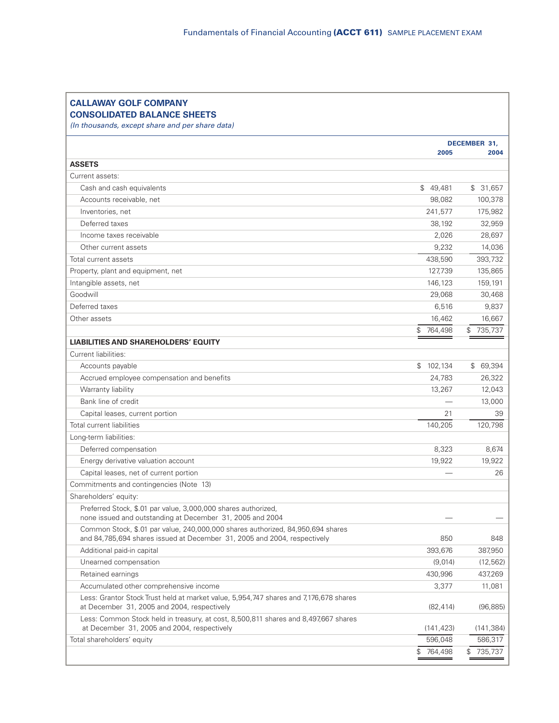| DECEMBER 31,<br>2005<br>Cash and cash equivalents<br>\$49,481<br>\$31,657<br>Accounts receivable, net<br>98,082<br>241,577<br>Inventories, net<br>Deferred taxes<br>38,192<br>2,026<br>Income taxes receivable<br>9,232<br>Other current assets<br>438,590<br>127,739<br>146,123<br>159,191<br>29,068<br>6,516<br>16,462<br>\$764,498<br>\$735,737<br>\$102,134<br>Accounts payable<br>Accrued employee compensation and benefits<br>24,783<br>Warranty liability<br>13,267<br>Bank line of credit<br>Capital leases, current portion<br>21<br>140,205<br>Deferred compensation<br>8,323<br>Energy derivative valuation account<br>19,922<br>Capital leases, net of current portion<br>Preferred Stock, \$.01 par value, 3,000,000 shares authorized,<br>none issued and outstanding at December 31, 2005 and 2004<br>Common Stock, \$.01 par value, 240,000,000 shares authorized, 84,950,694 shares<br>and 84,785,694 shares issued at December 31, 2005 and 2004, respectively<br>850<br>393,676<br>Additional paid-in capital<br>Unearned compensation<br>(9,014)<br>Retained earnings<br>430,996<br>Accumulated other comprehensive income<br>3,377<br>11,081<br>Less: Grantor Stock Trust held at market value, 5,954,747 shares and 7,176,678 shares<br>at December 31, 2005 and 2004, respectively<br>(82, 414)<br>Less: Common Stock held in treasury, at cost, 8,500,811 shares and 8,497,667 shares<br>at December 31, 2005 and 2004, respectively<br>(141,423)<br>596,048<br>\$ | <b>CALLAWAY GOLF COMPANY</b><br><b>CONSOLIDATED BALANCE SHEETS</b> |         |            |
|---------------------------------------------------------------------------------------------------------------------------------------------------------------------------------------------------------------------------------------------------------------------------------------------------------------------------------------------------------------------------------------------------------------------------------------------------------------------------------------------------------------------------------------------------------------------------------------------------------------------------------------------------------------------------------------------------------------------------------------------------------------------------------------------------------------------------------------------------------------------------------------------------------------------------------------------------------------------------------------------------------------------------------------------------------------------------------------------------------------------------------------------------------------------------------------------------------------------------------------------------------------------------------------------------------------------------------------------------------------------------------------------------------------------------------------------------------------------------------------------|--------------------------------------------------------------------|---------|------------|
|                                                                                                                                                                                                                                                                                                                                                                                                                                                                                                                                                                                                                                                                                                                                                                                                                                                                                                                                                                                                                                                                                                                                                                                                                                                                                                                                                                                                                                                                                             | (In thousands, except share and per share data)                    |         |            |
|                                                                                                                                                                                                                                                                                                                                                                                                                                                                                                                                                                                                                                                                                                                                                                                                                                                                                                                                                                                                                                                                                                                                                                                                                                                                                                                                                                                                                                                                                             |                                                                    |         | 2004       |
|                                                                                                                                                                                                                                                                                                                                                                                                                                                                                                                                                                                                                                                                                                                                                                                                                                                                                                                                                                                                                                                                                                                                                                                                                                                                                                                                                                                                                                                                                             | <b>ASSETS</b>                                                      |         |            |
|                                                                                                                                                                                                                                                                                                                                                                                                                                                                                                                                                                                                                                                                                                                                                                                                                                                                                                                                                                                                                                                                                                                                                                                                                                                                                                                                                                                                                                                                                             | Current assets:                                                    |         |            |
|                                                                                                                                                                                                                                                                                                                                                                                                                                                                                                                                                                                                                                                                                                                                                                                                                                                                                                                                                                                                                                                                                                                                                                                                                                                                                                                                                                                                                                                                                             |                                                                    |         |            |
|                                                                                                                                                                                                                                                                                                                                                                                                                                                                                                                                                                                                                                                                                                                                                                                                                                                                                                                                                                                                                                                                                                                                                                                                                                                                                                                                                                                                                                                                                             |                                                                    |         | 100,378    |
|                                                                                                                                                                                                                                                                                                                                                                                                                                                                                                                                                                                                                                                                                                                                                                                                                                                                                                                                                                                                                                                                                                                                                                                                                                                                                                                                                                                                                                                                                             |                                                                    |         | 175,982    |
|                                                                                                                                                                                                                                                                                                                                                                                                                                                                                                                                                                                                                                                                                                                                                                                                                                                                                                                                                                                                                                                                                                                                                                                                                                                                                                                                                                                                                                                                                             |                                                                    |         | 32,959     |
|                                                                                                                                                                                                                                                                                                                                                                                                                                                                                                                                                                                                                                                                                                                                                                                                                                                                                                                                                                                                                                                                                                                                                                                                                                                                                                                                                                                                                                                                                             |                                                                    |         | 28,697     |
|                                                                                                                                                                                                                                                                                                                                                                                                                                                                                                                                                                                                                                                                                                                                                                                                                                                                                                                                                                                                                                                                                                                                                                                                                                                                                                                                                                                                                                                                                             |                                                                    |         | 14,036     |
|                                                                                                                                                                                                                                                                                                                                                                                                                                                                                                                                                                                                                                                                                                                                                                                                                                                                                                                                                                                                                                                                                                                                                                                                                                                                                                                                                                                                                                                                                             | Total current assets                                               |         | 393,732    |
|                                                                                                                                                                                                                                                                                                                                                                                                                                                                                                                                                                                                                                                                                                                                                                                                                                                                                                                                                                                                                                                                                                                                                                                                                                                                                                                                                                                                                                                                                             | Property, plant and equipment, net                                 |         | 135,865    |
|                                                                                                                                                                                                                                                                                                                                                                                                                                                                                                                                                                                                                                                                                                                                                                                                                                                                                                                                                                                                                                                                                                                                                                                                                                                                                                                                                                                                                                                                                             | Intangible assets, net                                             |         |            |
|                                                                                                                                                                                                                                                                                                                                                                                                                                                                                                                                                                                                                                                                                                                                                                                                                                                                                                                                                                                                                                                                                                                                                                                                                                                                                                                                                                                                                                                                                             | Goodwill                                                           |         | 30,468     |
|                                                                                                                                                                                                                                                                                                                                                                                                                                                                                                                                                                                                                                                                                                                                                                                                                                                                                                                                                                                                                                                                                                                                                                                                                                                                                                                                                                                                                                                                                             | Deferred taxes                                                     |         | 9,837      |
|                                                                                                                                                                                                                                                                                                                                                                                                                                                                                                                                                                                                                                                                                                                                                                                                                                                                                                                                                                                                                                                                                                                                                                                                                                                                                                                                                                                                                                                                                             | Other assets                                                       |         | 16,667     |
|                                                                                                                                                                                                                                                                                                                                                                                                                                                                                                                                                                                                                                                                                                                                                                                                                                                                                                                                                                                                                                                                                                                                                                                                                                                                                                                                                                                                                                                                                             |                                                                    |         |            |
|                                                                                                                                                                                                                                                                                                                                                                                                                                                                                                                                                                                                                                                                                                                                                                                                                                                                                                                                                                                                                                                                                                                                                                                                                                                                                                                                                                                                                                                                                             | <b>LIABILITIES AND SHAREHOLDERS' EQUITY</b>                        |         |            |
|                                                                                                                                                                                                                                                                                                                                                                                                                                                                                                                                                                                                                                                                                                                                                                                                                                                                                                                                                                                                                                                                                                                                                                                                                                                                                                                                                                                                                                                                                             | Current liabilities:                                               |         |            |
|                                                                                                                                                                                                                                                                                                                                                                                                                                                                                                                                                                                                                                                                                                                                                                                                                                                                                                                                                                                                                                                                                                                                                                                                                                                                                                                                                                                                                                                                                             |                                                                    |         | \$69,394   |
|                                                                                                                                                                                                                                                                                                                                                                                                                                                                                                                                                                                                                                                                                                                                                                                                                                                                                                                                                                                                                                                                                                                                                                                                                                                                                                                                                                                                                                                                                             |                                                                    |         | 26,322     |
|                                                                                                                                                                                                                                                                                                                                                                                                                                                                                                                                                                                                                                                                                                                                                                                                                                                                                                                                                                                                                                                                                                                                                                                                                                                                                                                                                                                                                                                                                             |                                                                    |         | 12,043     |
|                                                                                                                                                                                                                                                                                                                                                                                                                                                                                                                                                                                                                                                                                                                                                                                                                                                                                                                                                                                                                                                                                                                                                                                                                                                                                                                                                                                                                                                                                             |                                                                    |         | 13,000     |
|                                                                                                                                                                                                                                                                                                                                                                                                                                                                                                                                                                                                                                                                                                                                                                                                                                                                                                                                                                                                                                                                                                                                                                                                                                                                                                                                                                                                                                                                                             |                                                                    |         | 39         |
|                                                                                                                                                                                                                                                                                                                                                                                                                                                                                                                                                                                                                                                                                                                                                                                                                                                                                                                                                                                                                                                                                                                                                                                                                                                                                                                                                                                                                                                                                             | <b>Total current liabilities</b>                                   |         | 120,798    |
|                                                                                                                                                                                                                                                                                                                                                                                                                                                                                                                                                                                                                                                                                                                                                                                                                                                                                                                                                                                                                                                                                                                                                                                                                                                                                                                                                                                                                                                                                             | Long-term liabilities:                                             |         |            |
|                                                                                                                                                                                                                                                                                                                                                                                                                                                                                                                                                                                                                                                                                                                                                                                                                                                                                                                                                                                                                                                                                                                                                                                                                                                                                                                                                                                                                                                                                             |                                                                    |         | 8,674      |
|                                                                                                                                                                                                                                                                                                                                                                                                                                                                                                                                                                                                                                                                                                                                                                                                                                                                                                                                                                                                                                                                                                                                                                                                                                                                                                                                                                                                                                                                                             |                                                                    |         | 19,922     |
|                                                                                                                                                                                                                                                                                                                                                                                                                                                                                                                                                                                                                                                                                                                                                                                                                                                                                                                                                                                                                                                                                                                                                                                                                                                                                                                                                                                                                                                                                             |                                                                    |         | 26         |
|                                                                                                                                                                                                                                                                                                                                                                                                                                                                                                                                                                                                                                                                                                                                                                                                                                                                                                                                                                                                                                                                                                                                                                                                                                                                                                                                                                                                                                                                                             | Commitments and contingencies (Note 13)                            |         |            |
|                                                                                                                                                                                                                                                                                                                                                                                                                                                                                                                                                                                                                                                                                                                                                                                                                                                                                                                                                                                                                                                                                                                                                                                                                                                                                                                                                                                                                                                                                             | Shareholders' equity:                                              |         |            |
|                                                                                                                                                                                                                                                                                                                                                                                                                                                                                                                                                                                                                                                                                                                                                                                                                                                                                                                                                                                                                                                                                                                                                                                                                                                                                                                                                                                                                                                                                             |                                                                    |         |            |
|                                                                                                                                                                                                                                                                                                                                                                                                                                                                                                                                                                                                                                                                                                                                                                                                                                                                                                                                                                                                                                                                                                                                                                                                                                                                                                                                                                                                                                                                                             |                                                                    |         | 848        |
|                                                                                                                                                                                                                                                                                                                                                                                                                                                                                                                                                                                                                                                                                                                                                                                                                                                                                                                                                                                                                                                                                                                                                                                                                                                                                                                                                                                                                                                                                             |                                                                    |         | 387,950    |
|                                                                                                                                                                                                                                                                                                                                                                                                                                                                                                                                                                                                                                                                                                                                                                                                                                                                                                                                                                                                                                                                                                                                                                                                                                                                                                                                                                                                                                                                                             |                                                                    |         | (12, 562)  |
|                                                                                                                                                                                                                                                                                                                                                                                                                                                                                                                                                                                                                                                                                                                                                                                                                                                                                                                                                                                                                                                                                                                                                                                                                                                                                                                                                                                                                                                                                             |                                                                    |         | 437,269    |
|                                                                                                                                                                                                                                                                                                                                                                                                                                                                                                                                                                                                                                                                                                                                                                                                                                                                                                                                                                                                                                                                                                                                                                                                                                                                                                                                                                                                                                                                                             |                                                                    |         |            |
|                                                                                                                                                                                                                                                                                                                                                                                                                                                                                                                                                                                                                                                                                                                                                                                                                                                                                                                                                                                                                                                                                                                                                                                                                                                                                                                                                                                                                                                                                             |                                                                    |         | (96, 885)  |
|                                                                                                                                                                                                                                                                                                                                                                                                                                                                                                                                                                                                                                                                                                                                                                                                                                                                                                                                                                                                                                                                                                                                                                                                                                                                                                                                                                                                                                                                                             |                                                                    |         | (141, 384) |
|                                                                                                                                                                                                                                                                                                                                                                                                                                                                                                                                                                                                                                                                                                                                                                                                                                                                                                                                                                                                                                                                                                                                                                                                                                                                                                                                                                                                                                                                                             | Total shareholders' equity                                         |         | 586,317    |
|                                                                                                                                                                                                                                                                                                                                                                                                                                                                                                                                                                                                                                                                                                                                                                                                                                                                                                                                                                                                                                                                                                                                                                                                                                                                                                                                                                                                                                                                                             |                                                                    | 764,498 | \$735,737  |

r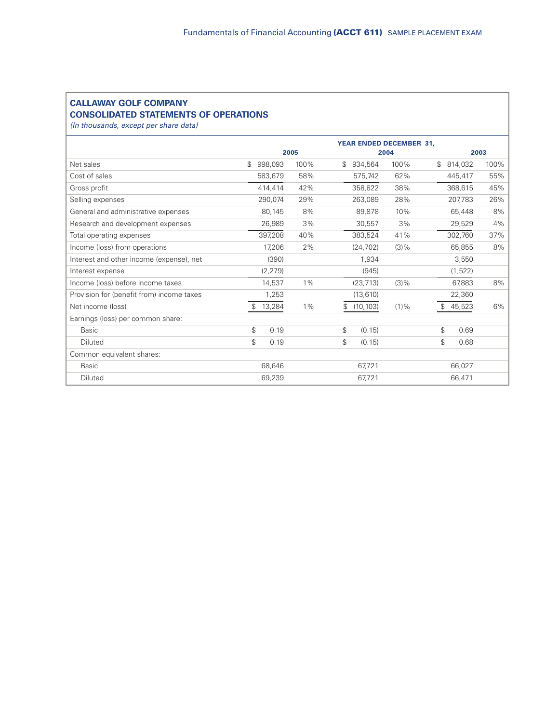# **CALLAWAY GOLF COMPANY CONSOLIDATED STATEMENTS OF OPERATIONS**

*(In thousands, except per share data)*

|                                           |              |          |       |              |           | <b>YEAR ENDED DECEMBER 31.</b> |              |         |      |
|-------------------------------------------|--------------|----------|-------|--------------|-----------|--------------------------------|--------------|---------|------|
|                                           |              |          | 2005  |              |           | 2004                           |              | 2003    |      |
| Net sales                                 | \$           | 998,093  | 100%  | $\mathbb{S}$ | 934,564   | 100%                           | $\mathbb{S}$ | 814,032 | 100% |
| Cost of sales                             |              | 583,679  | 58%   |              | 575,742   | 62%                            |              | 445,417 | 55%  |
| Gross profit                              |              | 414,414  | 42%   |              | 358,822   | 38%                            |              | 368.615 | 45%  |
| Selling expenses                          |              | 290,074  | 29%   |              | 263,089   | 28%                            |              | 207,783 | 26%  |
| General and administrative expenses       |              | 80,145   | 8%    |              | 89,878    | 10%                            |              | 65,448  | 8%   |
| Research and development expenses         |              | 26,989   | 3%    |              | 30,557    | 3%                             |              | 29,529  | 4%   |
| Total operating expenses                  |              | 397,208  | 40%   |              | 383,524   | 41%                            |              | 302,760 | 37%  |
| Income (loss) from operations             |              | 17,206   | 2%    |              | (24, 702) | $(3)$ %                        |              | 65,855  | 8%   |
| Interest and other income (expense), net  |              | (390)    |       |              | 1,934     |                                |              | 3,550   |      |
| Interest expense                          |              | (2, 279) |       |              | (945)     |                                |              | (1,522) |      |
| Income (loss) before income taxes         |              | 14,537   | $1\%$ |              | (23, 713) | $(3)$ %                        |              | 67,883  | 8%   |
| Provision for (benefit from) income taxes |              | 1,253    |       |              | (13, 610) |                                |              | 22,360  |      |
| Net income (loss)                         | $\mathbb{S}$ | 13,284   | $1\%$ | S.           | (10, 103) | $(1) \%$                       | \$.          | 45,523  | 6%   |
| Earnings (loss) per common share:         |              |          |       |              |           |                                |              |         |      |
| <b>Basic</b>                              | \$           | 0.19     |       | \$           | (0.15)    |                                | \$           | 0.69    |      |
| Diluted                                   | \$           | 0.19     |       | \$           | (0.15)    |                                | \$           | 0.68    |      |
| Common equivalent shares:                 |              |          |       |              |           |                                |              |         |      |
| <b>Basic</b>                              |              | 68,646   |       |              | 67,721    |                                |              | 66,027  |      |
| Diluted                                   |              | 69,239   |       |              | 67,721    |                                |              | 66,471  |      |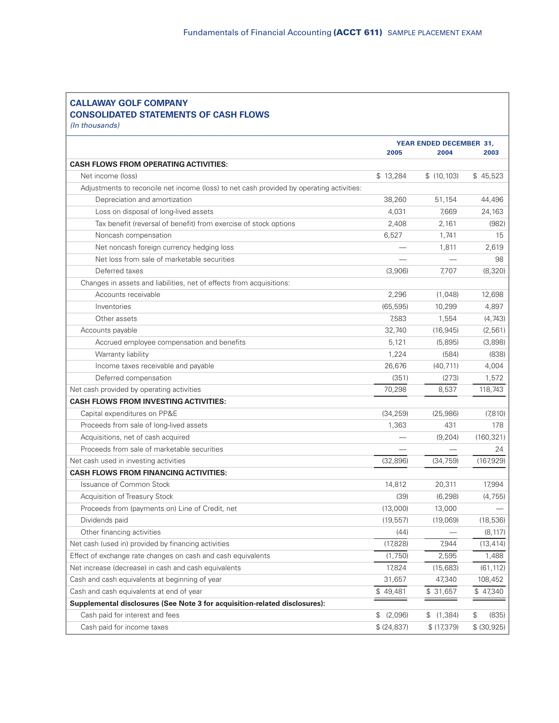#### **CALLAWAY GOLF COMPANY CONSOLIDATED STATEMENTS OF CASH FLOWS** *(In thousands)*

**YEAR ENDED DECEMBER 31, 2005 2004 2003 CASH FLOWS FROM OPERATING ACTIVITIES:** Net income (loss) \$ 45,523 \$ (10,103) \$ 45,523 Adjustments to reconcile net income (loss) to net cash provided by operating activities: Depreciation and amortization 38,260 51,154 44,496 Loss on disposal of long-lived assets the contraction of the contraction of the 4,031 and 4,031 and 4,031 and 7,669 and 24,163 Tax benefit (reversal of benefit) from exercise of stock options 2,408 2,161 (982) Noncash compensation and the compensation compensation compensation compensation compensation compensation compensation compensation compensation compensation compensation compensation compensation compensation compensatio Net noncash foreign currency hedging loss  $-$  1,811 2,619 Net loss from sale of marketable securities example and the securities and the securities of the securities of the securities of the securities of the securities of the securities of the securities of the securities of the Deferred taxes (3,906) 7,707 (8,320) Changes in assets and liabilities, net of effects from acquisitions: Accounts receivable 2,296 (1,048) 12,698 Inventories (65,595) 10,299 4,897 Other assets (4,743) (4,743) Accounts payable 32,740 (16,945) (2,561) Accrued employee compensation and benefits 6,121 (5,895) (3,898) Warranty liability 1,224 (584) (838) Income taxes receivable and payable 26,676 (40,711) 4,004 Deferred compensation (351) (273) 1,572 Net cash provided by operating activities The Contract Contract Contract Contract Contract Contract Contract Contract Contract Contract Contract Contract Contract Contract Contract Contract Contract Contract Contract Contr **CASH FLOWS FROM INVESTING ACTIVITIES:** Capital expenditures on PP&E (34,259) (25,986) (7,810) Proceeds from sale of long-lived assets 1,363 431 178 Acquisitions, net of cash acquired **Acquisitions**, net of cash acquired **Acquisitions**, net of cash acquired Proceeds from sale of marketable securities and the securities and the securities and the securities of the securities and the securities of the securities and the securities of the securities of the securities of the secu Net cash used in investing activities (32,896) (34,759) (167,929) **CASH FLOWS FROM FINANCING ACTIVITIES:** Issuance of Common Stock 17,994 Acquisition of Treasury Stock (39) (6,298) (4,755) Proceeds from (payments on) Line of Credit, net (13,000) (13,000 = 13,000 Dividends paid (19,557) (19,069) (18,536) Other financing activities (44) (8,117) Net cash (used in) provided by financing activities (17,828) (17,828) 7,944 (13,414) Effect of exchange rate changes on cash and cash equivalents (1,750) 2,595 1,488 Net increase (decrease) in cash and cash equivalents 17,824 (15,683) (61,112) Cash and cash equivalents at beginning of year 31,657 31,657 47,340 108,452 Cash and cash equivalents at end of year **\$ 49,481** \$ 49,481 \$ 31,657 \$ 47,340 **Supplemental disclosures (See Note 3 for acquisition-related disclosures):** Cash paid for interest and fees \$ (2,096) \$ (1,384) \$ (835) Cash paid for income taxes \$ (24,837) \$ (17,379) \$ (30,925)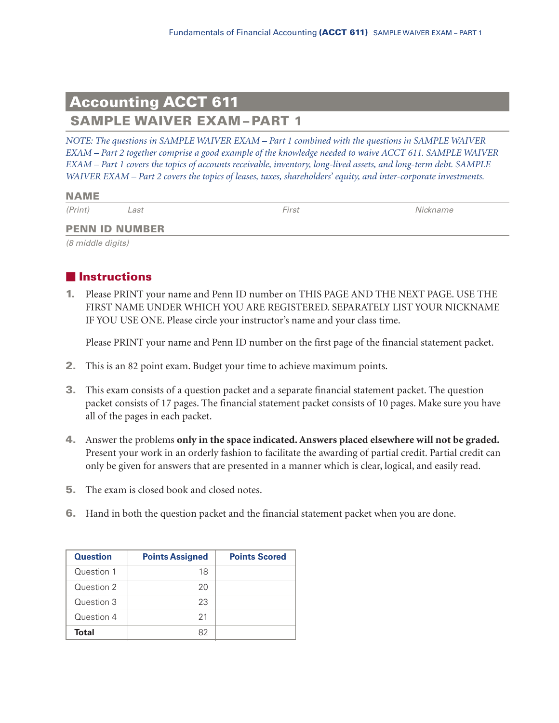# **Accounting ACCT 611 SAMPLE WAIVER EXAM – PART 1**

*NOTE: The questions in SAMPLE WAIVER EXAM – Part 1 combined with the questions in SAMPLE WAIVER EXAM – Part 2 together comprise a good example of the knowledge needed to waive ACCT 611. SAMPLE WAIVER EXAM – Part 1 covers the topics of accounts receivable, inventory, long-lived assets, and long-term debt. SAMPLE WAIVER EXAM – Part 2 covers the topics of leases, taxes, shareholders' equity, and inter-corporate investments.*

| <b>NAME</b> |      |            |          |
|-------------|------|------------|----------|
| (Print)     | ∟ast | $r_{irst}$ | Nickname |

#### **PENN ID NUMBER**

*(8 middle digits)*

# **Instructions**

**1.** Please PRINT your name and Penn ID number on THIS PAGE AND THE NEXT PAGE. USE THE FIRST NAME UNDER WHICH YOU ARE REGISTERED. SEPARATELY LIST YOUR NICKNAME IF YOU USE ONE. Please circle your instructor's name and your class time.

Please PRINT your name and Penn ID number on the first page of the financial statement packet.

- **2.** This is an 82 point exam. Budget your time to achieve maximum points.
- **3.** This exam consists of a question packet and a separate financial statement packet. The question packet consists of 17 pages. The financial statement packet consists of 10 pages. Make sure you have all of the pages in each packet.
- **4.** Answer the problems **only in the space indicated. Answers placed elsewhere will not be graded.** Present your work in an orderly fashion to facilitate the awarding of partial credit. Partial credit can only be given for answers that are presented in a manner which is clear, logical, and easily read.
- **5.** The exam is closed book and closed notes.
- **6.** Hand in both the question packet and the financial statement packet when you are done.

| <b>Question</b> | <b>Points Assigned</b> | <b>Points Scored</b> |
|-----------------|------------------------|----------------------|
| Question 1      | 18                     |                      |
| Question 2      | 20                     |                      |
| Question 3      | 23                     |                      |
| Question 4      | 21                     |                      |
| <b>Total</b>    | 82                     |                      |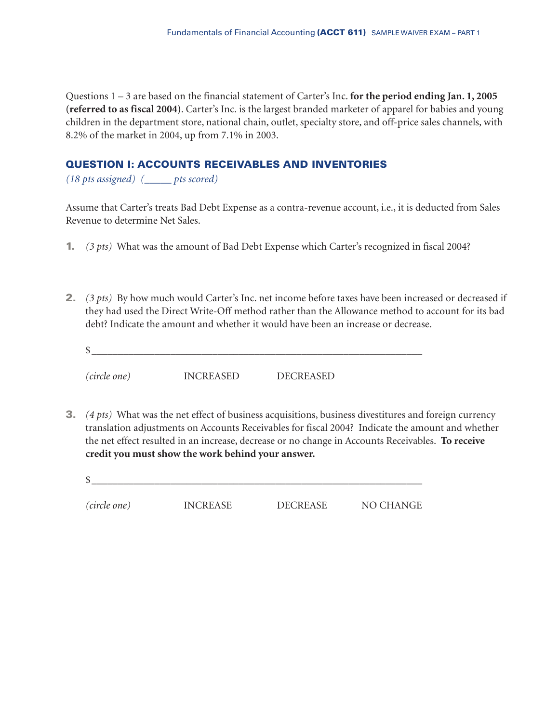Questions 1 – 3 are based on the financial statement of Carter's Inc. **for the period ending Jan. 1, 2005 (referred to as fiscal 2004)**. Carter's Inc. is the largest branded marketer of apparel for babies and young children in the department store, national chain, outlet, specialty store, and off-price sales channels, with 8.2% of the market in 2004, up from 7.1% in 2003.

#### **QUESTION I: ACCOUNTS RECEIVABLES AND INVENTORIES**

*(18 pts assigned) (\_\_\_\_\_ pts scored)*

Assume that Carter's treats Bad Debt Expense as a contra-revenue account, i.e., it is deducted from Sales Revenue to determine Net Sales.

- **1.** *(3 pts)* What was the amount of Bad Debt Expense which Carter's recognized in fiscal 2004?
- **2.** *(3 pts)* By how much would Carter's Inc. net income before taxes have been increased or decreased if they had used the Direct Write-Off method rather than the Allowance method to account for its bad debt? Indicate the amount and whether it would have been an increase or decrease.
	- $\circ$ *(circle one)* INCREASED DECREASED
- **3.** *(4 pts)* What was the net effect of business acquisitions, business divestitures and foreign currency translation adjustments on Accounts Receivables for fiscal 2004? Indicate the amount and whether the net effect resulted in an increase, decrease or no change in Accounts Receivables. **To receive credit you must show the work behind your answer.**
	- \$\_\_\_\_\_\_\_\_\_\_\_\_\_\_\_\_\_\_\_\_\_\_\_\_\_\_\_\_\_\_\_\_\_\_\_\_\_\_\_\_\_\_\_\_\_\_\_\_\_\_\_\_\_\_\_\_\_\_\_\_\_\_\_

*(circle one)* INCREASE DECREASE NO CHANGE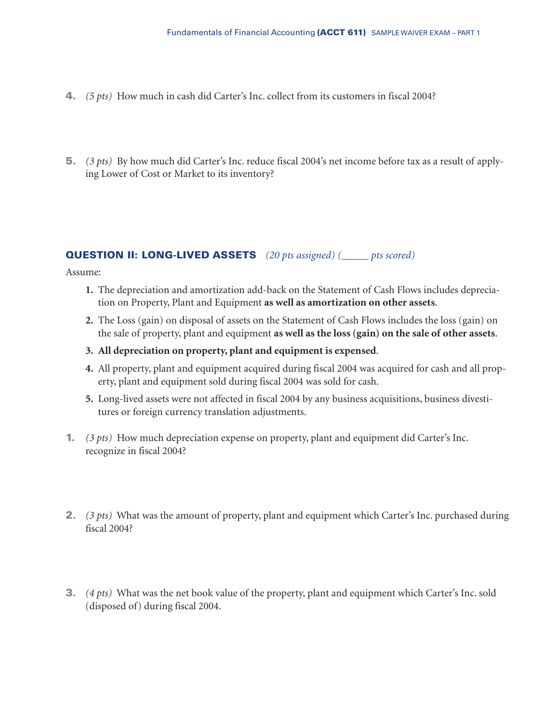- **4.** *(5 pts)* How much in cash did Carter's Inc. collect from its customers in fiscal 2004?
- **5.** *(3 pts)* By how much did Carter's Inc. reduce fiscal 2004's net income before tax as a result of applying Lower of Cost or Market to its inventory?

# **QUESTION II: LONG-LIVED ASSETS** *(20 pts assigned) (\_\_\_\_\_ pts scored)*

Assume:

- **1.** The depreciation and amortization add-back on the Statement of Cash Flows includes depreciation on Property, Plant and Equipment **as well as amortization on other assets**.
- **2.** The Loss (gain) on disposal of assets on the Statement of Cash Flows includes the loss (gain) on the sale of property, plant and equipment **as well as the loss (gain) on the sale of other assets**.
- **3. All depreciation on property, plant and equipment is expensed**.
- **4.** All property, plant and equipment acquired during fiscal 2004 was acquired for cash and all property, plant and equipment sold during fiscal 2004 was sold for cash.
- **5.** Long-lived assets were not affected in fiscal 2004 by any business acquisitions, business divestitures or foreign currency translation adjustments.
- **1.** *(3 pts)* How much depreciation expense on property, plant and equipment did Carter's Inc. recognize in fiscal 2004?
- **2.** *(3 pts)* What was the amount of property, plant and equipment which Carter's Inc. purchased during fiscal 2004?
- **3.** *(4 pts)* What was the net book value of the property, plant and equipment which Carter's Inc. sold (disposed of) during fiscal 2004.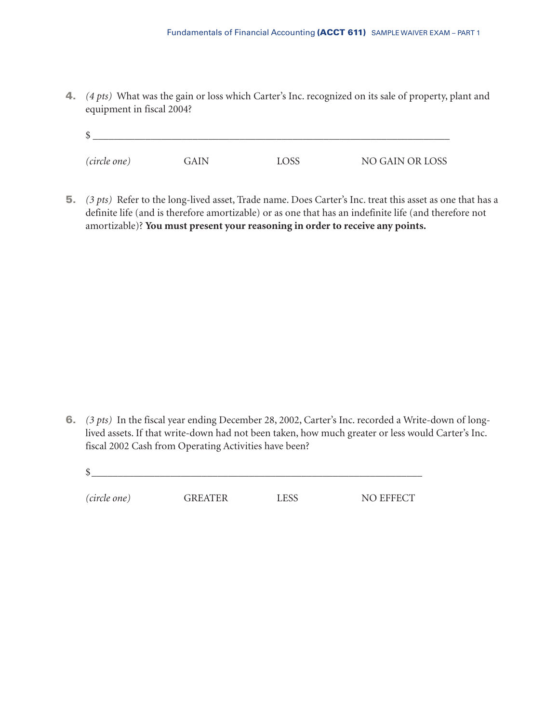**4.** *(4 pts)* What was the gain or loss which Carter's Inc. recognized on its sale of property, plant and equipment in fiscal 2004?

| \$           |             |             |                 |
|--------------|-------------|-------------|-----------------|
| (circle one) | <b>GAIN</b> | <b>LOSS</b> | NO GAIN OR LOSS |

**5.** *(3 pts)* Refer to the long-lived asset, Trade name. Does Carter's Inc. treat this asset as one that has a definite life (and is therefore amortizable) or as one that has an indefinite life (and therefore not amortizable)? **You must present your reasoning in order to receive any points.**

- **6.** *(3 pts)* In the fiscal year ending December 28, 2002, Carter's Inc. recorded a Write-down of longlived assets. If that write-down had not been taken, how much greater or less would Carter's Inc. fiscal 2002 Cash from Operating Activities have been?
	- $\frac{12}{2}$

*(circle one)* GREATER LESS NO EFFECT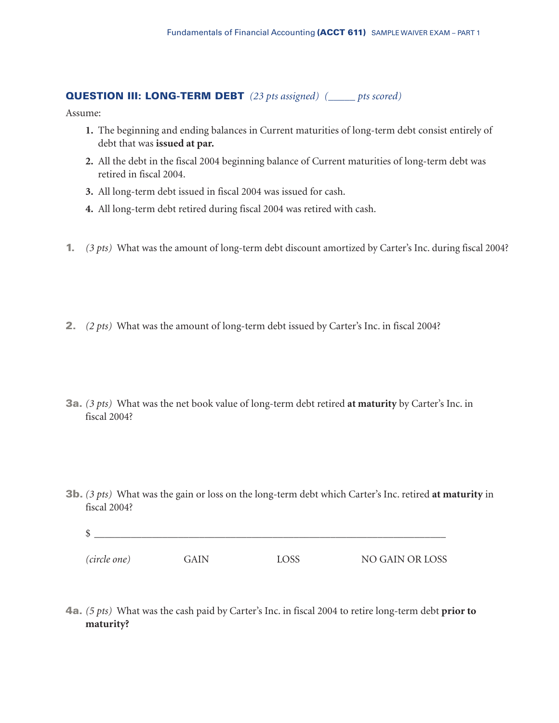#### **QUESTION III: LONG-TERM DEBT** *(23 pts assigned) (\_\_\_\_\_ pts scored)*

Assume:

- **1.** The beginning and ending balances in Current maturities of long-term debt consist entirely of debt that was **issued at par.**
- **2.** All the debt in the fiscal 2004 beginning balance of Current maturities of long-term debt was retired in fiscal 2004.
- **3.** All long-term debt issued in fiscal 2004 was issued for cash.
- **4.** All long-term debt retired during fiscal 2004 was retired with cash.
- **1.** *(3 pts)* What was the amount of long-term debt discount amortized by Carter's Inc. during fiscal 2004?
- **2.** *(2 pts)* What was the amount of long-term debt issued by Carter's Inc. in fiscal 2004?
- **3a.** *(3 pts)* What was the net book value of long-term debt retired **at maturity** by Carter's Inc. in fiscal 2004?
- **3b.** *(3 pts)* What was the gain or loss on the long-term debt which Carter's Inc. retired **at maturity** in fiscal 2004?

| \$           |      |      |                 |
|--------------|------|------|-----------------|
| (circle one) | GAIN | LOSS | NO GAIN OR LOSS |

**4a.** *(5 pts)* What was the cash paid by Carter's Inc. in fiscal 2004 to retire long-term debt **prior to maturity?**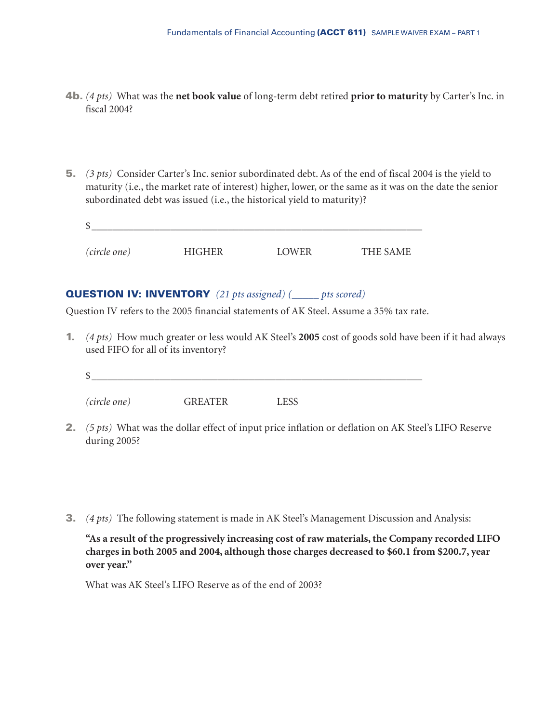- **4b.** *(4 pts)* What was the **net book value** of long-term debt retired **prior to maturity** by Carter's Inc. in fiscal 2004?
- **5.** *(3 pts)* Consider Carter's Inc. senior subordinated debt. As of the end of fiscal 2004 is the yield to maturity (i.e., the market rate of interest) higher, lower, or the same as it was on the date the senior subordinated debt was issued (i.e., the historical yield to maturity)?

| \$           |        |       |          |
|--------------|--------|-------|----------|
| (circle one) | HIGHER | LOWER | THE SAME |

#### **QUESTION IV: INVENTORY** *(21 pts assigned) (\_\_\_\_\_ pts scored)*

Question IV refers to the 2005 financial statements of AK Steel. Assume a 35% tax rate.

**1.** *(4 pts)* How much greater or less would AK Steel's **2005** cost of goods sold have been if it had always used FIFO for all of its inventory?

| <sup>\$</sup>       |                |             |
|---------------------|----------------|-------------|
|                     |                |             |
| <i>(circle one)</i> | <b>GREATER</b> | <b>LESS</b> |

- **2.** *(5 pts)* What was the dollar effect of input price inflation or deflation on AK Steel's LIFO Reserve during 2005?
- **3.** *(4 pts)* The following statement is made in AK Steel's Management Discussion and Analysis:

**"As a result of the progressively increasing cost of raw materials, the Company recorded LIFO charges in both 2005 and 2004, although those charges decreased to \$60.1 from \$200.7, year over year."**

What was AK Steel's LIFO Reserve as of the end of 2003?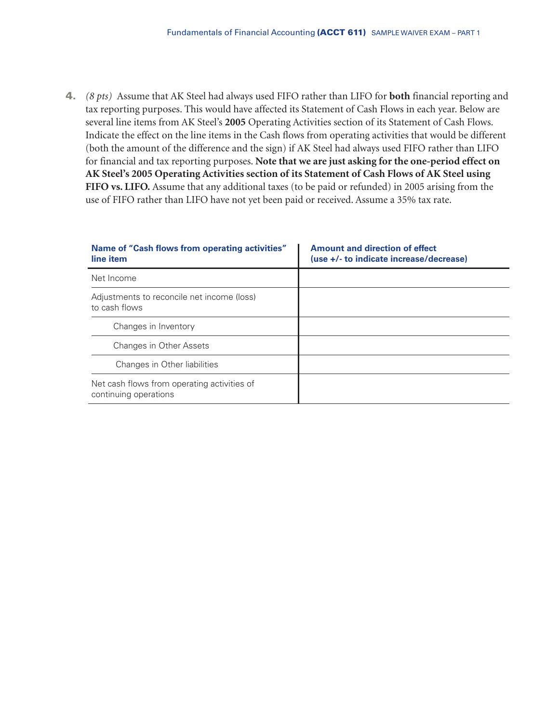**4.** *(8 pts)* Assume that AK Steel had always used FIFO rather than LIFO for **both** financial reporting and tax reporting purposes. This would have affected its Statement of Cash Flows in each year. Below are several line items from AK Steel's **2005** Operating Activities section of its Statement of Cash Flows. Indicate the effect on the line items in the Cash flows from operating activities that would be different (both the amount of the difference and the sign) if AK Steel had always used FIFO rather than LIFO for financial and tax reporting purposes. **Note that we are just asking for the one-period effect on AK Steel's 2005 Operating Activities section of its Statement of Cash Flows of AK Steel using FIFO vs. LIFO.** Assume that any additional taxes (to be paid or refunded) in 2005 arising from the use of FIFO rather than LIFO have not yet been paid or received. Assume a 35% tax rate.

| Name of "Cash flows from operating activities"<br>line item          | <b>Amount and direction of effect</b><br>(use +/- to indicate increase/decrease) |
|----------------------------------------------------------------------|----------------------------------------------------------------------------------|
| Net Income                                                           |                                                                                  |
| Adjustments to reconcile net income (loss)<br>to cash flows          |                                                                                  |
| Changes in Inventory                                                 |                                                                                  |
| Changes in Other Assets                                              |                                                                                  |
| Changes in Other liabilities                                         |                                                                                  |
| Net cash flows from operating activities of<br>continuing operations |                                                                                  |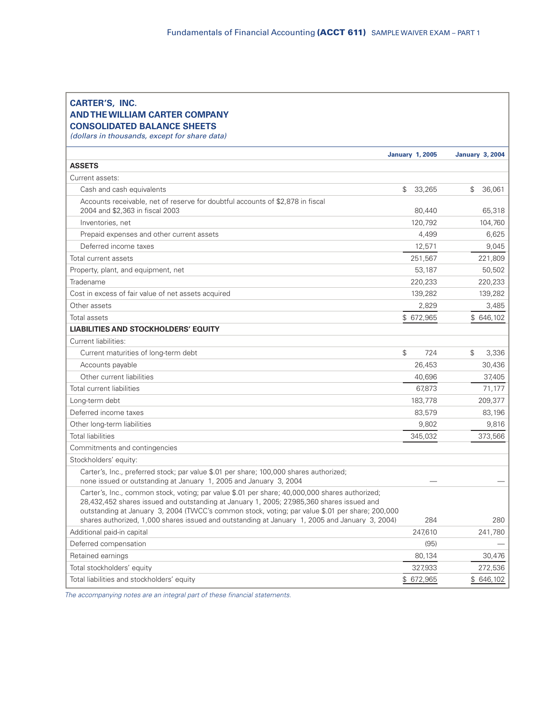#### **CARTER'S, INC. AND THE WILLIAM CARTER COMPANY CONSOLIDATED BALANCE SHEETS**

*(dollars in thousands, except for share data)*

|                                                                                                                                                                                                                                                                                                                                                                                                  | <b>January 1, 2005</b>   | <b>January 3, 2004</b>  |
|--------------------------------------------------------------------------------------------------------------------------------------------------------------------------------------------------------------------------------------------------------------------------------------------------------------------------------------------------------------------------------------------------|--------------------------|-------------------------|
| <b>ASSETS</b>                                                                                                                                                                                                                                                                                                                                                                                    |                          |                         |
| Current assets:                                                                                                                                                                                                                                                                                                                                                                                  |                          |                         |
| Cash and cash equivalents                                                                                                                                                                                                                                                                                                                                                                        | $\mathfrak{L}$<br>33,265 | $\mathbb{S}$<br>36,061  |
| Accounts receivable, net of reserve for doubtful accounts of \$2,878 in fiscal<br>2004 and \$2,363 in fiscal 2003                                                                                                                                                                                                                                                                                | 80,440                   | 65,318                  |
| Inventories, net                                                                                                                                                                                                                                                                                                                                                                                 | 120.792                  | 104,760                 |
| Prepaid expenses and other current assets                                                                                                                                                                                                                                                                                                                                                        | 4,499                    | 6,625                   |
| Deferred income taxes                                                                                                                                                                                                                                                                                                                                                                            | 12,571                   | 9,045                   |
| Total current assets                                                                                                                                                                                                                                                                                                                                                                             | 251,567                  | 221,809                 |
| Property, plant, and equipment, net                                                                                                                                                                                                                                                                                                                                                              | 53,187                   | 50,502                  |
| Tradename                                                                                                                                                                                                                                                                                                                                                                                        | 220,233                  | 220,233                 |
| Cost in excess of fair value of net assets acquired                                                                                                                                                                                                                                                                                                                                              | 139,282                  | 139,282                 |
| Other assets                                                                                                                                                                                                                                                                                                                                                                                     | 2.829                    | 3,485                   |
| Total assets                                                                                                                                                                                                                                                                                                                                                                                     | \$ 672,965               | \$ 646,102              |
| <b>LIABILITIES AND STOCKHOLDERS' EQUITY</b>                                                                                                                                                                                                                                                                                                                                                      |                          |                         |
| Current liabilities:                                                                                                                                                                                                                                                                                                                                                                             |                          |                         |
| Current maturities of long-term debt                                                                                                                                                                                                                                                                                                                                                             | $\mathcal{L}$<br>724     | $\mathfrak{L}$<br>3,336 |
| Accounts payable                                                                                                                                                                                                                                                                                                                                                                                 | 26.453                   | 30,436                  |
| Other current liabilities                                                                                                                                                                                                                                                                                                                                                                        | 40,696                   | 37,405                  |
| Total current liabilities                                                                                                                                                                                                                                                                                                                                                                        | 67,873                   | 71,177                  |
| Long-term debt                                                                                                                                                                                                                                                                                                                                                                                   | 183,778                  | 209,377                 |
| Deferred income taxes                                                                                                                                                                                                                                                                                                                                                                            | 83,579                   | 83,196                  |
| Other long-term liabilities                                                                                                                                                                                                                                                                                                                                                                      | 9,802                    | 9,816                   |
| <b>Total liabilities</b>                                                                                                                                                                                                                                                                                                                                                                         | 345,032                  | 373,566                 |
| Commitments and contingencies                                                                                                                                                                                                                                                                                                                                                                    |                          |                         |
| Stockholders' equity:                                                                                                                                                                                                                                                                                                                                                                            |                          |                         |
| Carter's, Inc., preferred stock; par value \$.01 per share; 100,000 shares authorized;<br>none issued or outstanding at January 1, 2005 and January 3, 2004                                                                                                                                                                                                                                      |                          |                         |
| Carter's, Inc., common stock, voting; par value \$.01 per share; 40,000,000 shares authorized;<br>28,432,452 shares issued and outstanding at January 1, 2005; 27,985,360 shares issued and<br>outstanding at January 3, 2004 (TWCC's common stock, voting; par value \$.01 per share; 200,000<br>shares authorized, 1,000 shares issued and outstanding at January 1, 2005 and January 3, 2004) | 284                      | 280                     |
| Additional paid-in capital                                                                                                                                                                                                                                                                                                                                                                       | 247,610                  | 241,780                 |
| Deferred compensation                                                                                                                                                                                                                                                                                                                                                                            | (95)                     |                         |
| Retained earnings                                                                                                                                                                                                                                                                                                                                                                                | 80,134                   | 30,476                  |
| Total stockholders' equity                                                                                                                                                                                                                                                                                                                                                                       | 327.933                  | 272,536                 |
| Total liabilities and stockholders' equity                                                                                                                                                                                                                                                                                                                                                       | \$ 672,965               | \$ 646,102              |
|                                                                                                                                                                                                                                                                                                                                                                                                  |                          |                         |

*The accompanying notes are an integral part of these financial statements.*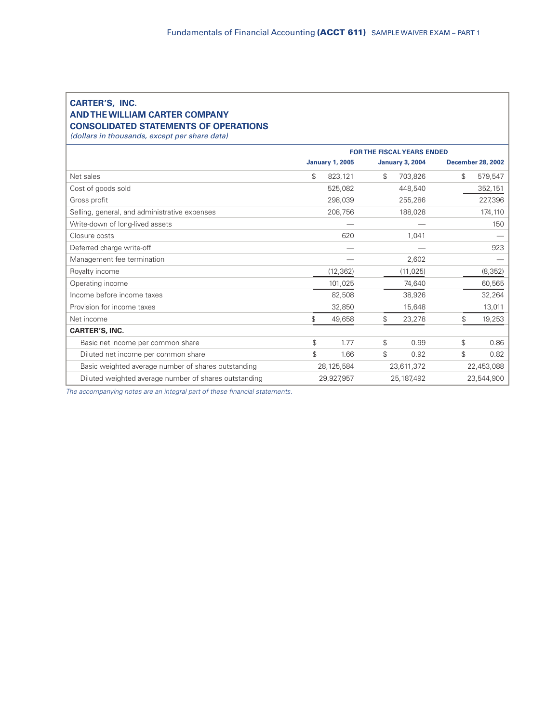# **CARTER'S, INC. AND THE WILLIAM CARTER COMPANY**

#### **CONSOLIDATED STATEMENTS OF OPERATIONS**

*(dollars in thousands, except per share data)*

|                                                       | <b>FOR THE FISCAL YEARS ENDED</b> |                        |    |                        |                          |
|-------------------------------------------------------|-----------------------------------|------------------------|----|------------------------|--------------------------|
|                                                       |                                   | <b>January 1, 2005</b> |    | <b>January 3, 2004</b> | <b>December 28, 2002</b> |
| Net sales                                             | \$                                | 823,121                | \$ | 703,826                | \$<br>579,547            |
| Cost of goods sold                                    |                                   | 525,082                |    | 448,540                | 352,151                  |
| Gross profit                                          |                                   | 298,039                |    | 255,286                | 227,396                  |
| Selling, general, and administrative expenses         |                                   | 208,756                |    | 188,028                | 174,110                  |
| Write-down of long-lived assets                       |                                   |                        |    |                        | 150                      |
| Closure costs                                         |                                   | 620                    |    | 1,041                  |                          |
| Deferred charge write-off                             |                                   |                        |    |                        | 923                      |
| Management fee termination                            |                                   |                        |    | 2,602                  |                          |
| Royalty income                                        |                                   | (12, 362)              |    | (11, 025)              | (8, 352)                 |
| Operating income                                      |                                   | 101,025                |    | 74,640                 | 60,565                   |
| Income before income taxes                            |                                   | 82,508                 |    | 38,926                 | 32,264                   |
| Provision for income taxes                            |                                   | 32,850                 |    | 15,648                 | 13,011                   |
| Net income                                            | \$                                | 49,658                 | \$ | 23,278                 | \$<br>19,253             |
| <b>CARTER'S, INC.</b>                                 |                                   |                        |    |                        |                          |
| Basic net income per common share                     | \$                                | 1.77                   | \$ | 0.99                   | \$<br>0.86               |
| Diluted net income per common share                   | \$                                | 1.66                   | \$ | 0.92                   | \$<br>0.82               |
| Basic weighted average number of shares outstanding   |                                   | 28,125,584             |    | 23,611,372             | 22,453,088               |
| Diluted weighted average number of shares outstanding |                                   | 29,927,957             |    | 25, 187, 492           | 23,544,900               |

*The accompanying notes are an integral part of these financial statements.*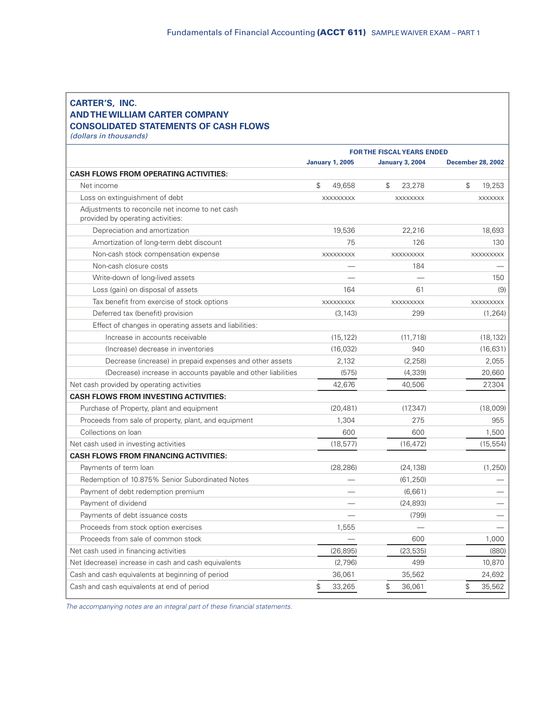#### **CARTER'S, INC. AND THE WILLIAM CARTER COMPANY CONSOLIDATED STATEMENTS OF CASH FLOWS**

*(dollars in thousands)*

|                                                                                      | <b>FOR THE FISCAL YEARS ENDED</b> |                         |                          |
|--------------------------------------------------------------------------------------|-----------------------------------|-------------------------|--------------------------|
|                                                                                      | <b>January 1, 2005</b>            | <b>January 3, 2004</b>  | <b>December 28, 2002</b> |
| <b>CASH FLOWS FROM OPERATING ACTIVITIES:</b>                                         |                                   |                         |                          |
| Net income                                                                           | $\mathcal{L}$<br>49.658           | $\mathcal{L}$<br>23,278 | \$<br>19,253             |
| Loss on extinguishment of debt                                                       | <b>XXXXXXXXX</b>                  | <b>XXXXXXXX</b>         | <b>XXXXXXX</b>           |
| Adjustments to reconcile net income to net cash<br>provided by operating activities: |                                   |                         |                          |
| Depreciation and amortization                                                        | 19,536                            | 22,216                  | 18,693                   |
| Amortization of long-term debt discount                                              | 75                                | 126                     | 130                      |
| Non-cash stock compensation expense                                                  | XXXXXXXXX                         | XXXXXXXXX               | XXXXXXXXX                |
| Non-cash closure costs                                                               |                                   | 184                     |                          |
| Write-down of long-lived assets                                                      |                                   |                         | 150                      |
| Loss (gain) on disposal of assets                                                    | 164                               | 61                      | (9)                      |
| Tax benefit from exercise of stock options                                           | XXXXXXXXX                         | XXXXXXXXX               | XXXXXXXXX                |
| Deferred tax (benefit) provision                                                     | (3, 143)                          | 299                     | (1, 264)                 |
| Effect of changes in operating assets and liabilities:                               |                                   |                         |                          |
| Increase in accounts receivable                                                      | (15, 122)                         | (11, 718)               | (18, 132)                |
| (Increase) decrease in inventories                                                   | (16, 032)                         | 940                     | (16, 631)                |
| Decrease (increase) in prepaid expenses and other assets                             | 2,132                             | (2, 258)                | 2,055                    |
| (Decrease) increase in accounts payable and other liabilities                        | (575)                             | (4, 339)                | 20,660                   |
| Net cash provided by operating activities                                            | 42,676                            | 40,506                  | 27,304                   |
| <b>CASH FLOWS FROM INVESTING ACTIVITIES:</b>                                         |                                   |                         |                          |
| Purchase of Property, plant and equipment                                            | (20, 481)                         | (17, 347)               | (18,009)                 |
| Proceeds from sale of property, plant, and equipment                                 | 1,304                             | 275                     | 955                      |
| Collections on loan                                                                  | 600                               | 600                     | 1,500                    |
| Net cash used in investing activities                                                | (18, 577)                         | (16, 472)               | (15, 554)                |
| <b>CASH FLOWS FROM FINANCING ACTIVITIES:</b>                                         |                                   |                         |                          |
| Payments of term loan                                                                | (28, 286)                         | (24, 138)               | (1, 250)                 |
| Redemption of 10.875% Senior Subordinated Notes                                      |                                   | (61, 250)               |                          |
| Payment of debt redemption premium                                                   |                                   | (6,661)                 |                          |
| Payment of dividend                                                                  |                                   | (24, 893)               |                          |
| Payments of debt issuance costs                                                      |                                   | (799)                   |                          |
| Proceeds from stock option exercises                                                 | 1,555                             |                         |                          |
| Proceeds from sale of common stock                                                   |                                   | 600                     | 1,000                    |
| Net cash used in financing activities                                                | (26, 895)                         | (23, 535)               | (880)                    |
| Net (decrease) increase in cash and cash equivalents                                 | (2,796)                           | 499                     | 10,870                   |
| Cash and cash equivalents at beginning of period                                     | 36,061                            | 35,562                  | 24,692                   |
| Cash and cash equivalents at end of period                                           | \$<br>33,265                      | \$<br>36,061            | \$<br>35,562             |

*The accompanying notes are an integral part of these financial statements.*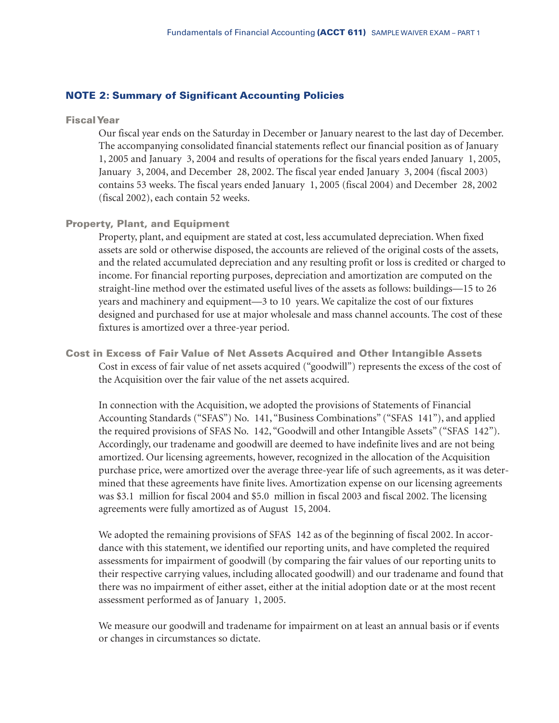#### **NOTE 2: Summary of Significant Accounting Policies**

#### **Fiscal Year**

Our fiscal year ends on the Saturday in December or January nearest to the last day of December. The accompanying consolidated financial statements reflect our financial position as of January 1, 2005 and January 3, 2004 and results of operations for the fiscal years ended January 1, 2005, January 3, 2004, and December 28, 2002. The fiscal year ended January 3, 2004 (fiscal 2003) contains 53 weeks. The fiscal years ended January 1, 2005 (fiscal 2004) and December 28, 2002 (fiscal 2002), each contain 52 weeks.

#### **Property, Plant, and Equipment**

Property, plant, and equipment are stated at cost, less accumulated depreciation. When fixed assets are sold or otherwise disposed, the accounts are relieved of the original costs of the assets, and the related accumulated depreciation and any resulting profit or loss is credited or charged to income. For financial reporting purposes, depreciation and amortization are computed on the straight-line method over the estimated useful lives of the assets as follows: buildings—15 to 26 years and machinery and equipment—3 to 10 years. We capitalize the cost of our fixtures designed and purchased for use at major wholesale and mass channel accounts. The cost of these fixtures is amortized over a three-year period.

**Cost in Excess of Fair Value of Net Assets Acquired and Other Intangible Assets** Cost in excess of fair value of net assets acquired ("goodwill") represents the excess of the cost of the Acquisition over the fair value of the net assets acquired.

In connection with the Acquisition, we adopted the provisions of Statements of Financial Accounting Standards ("SFAS") No. 141, "Business Combinations" ("SFAS 141"), and applied the required provisions of SFAS No. 142, "Goodwill and other Intangible Assets" ("SFAS 142"). Accordingly, our tradename and goodwill are deemed to have indefinite lives and are not being amortized. Our licensing agreements, however, recognized in the allocation of the Acquisition purchase price, were amortized over the average three-year life of such agreements, as it was determined that these agreements have finite lives. Amortization expense on our licensing agreements was \$3.1 million for fiscal 2004 and \$5.0 million in fiscal 2003 and fiscal 2002. The licensing agreements were fully amortized as of August 15, 2004.

We adopted the remaining provisions of SFAS 142 as of the beginning of fiscal 2002. In accordance with this statement, we identified our reporting units, and have completed the required assessments for impairment of goodwill (by comparing the fair values of our reporting units to their respective carrying values, including allocated goodwill) and our tradename and found that there was no impairment of either asset, either at the initial adoption date or at the most recent assessment performed as of January 1, 2005.

We measure our goodwill and tradename for impairment on at least an annual basis or if events or changes in circumstances so dictate.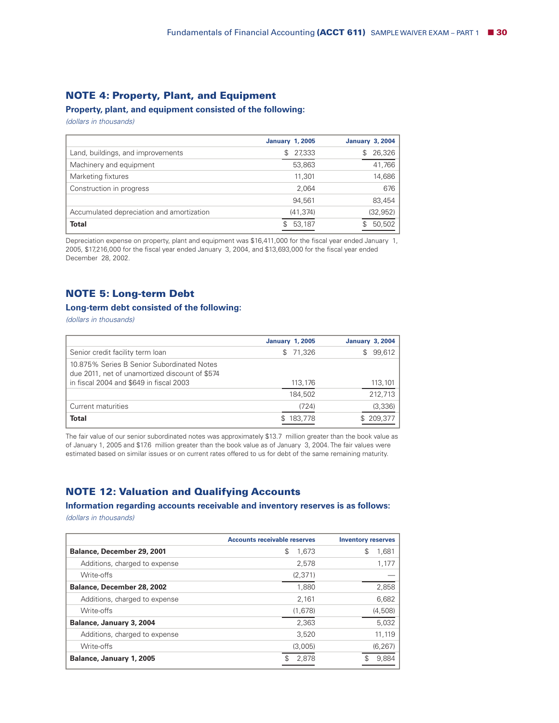# **NOTE 4: Property, Plant, and Equipment**

**Property, plant, and equipment consisted of the following:**

*(dollars in thousands)*

|                                           | <b>January 1, 2005</b> | <b>January 3, 2004</b> |
|-------------------------------------------|------------------------|------------------------|
| Land, buildings, and improvements         | 27,333<br>\$           | 26,326<br>S            |
| Machinery and equipment                   | 53,863                 | 41,766                 |
| Marketing fixtures                        | 11,301                 | 14,686                 |
| Construction in progress                  | 2.064                  | 676                    |
|                                           | 94.561                 | 83,454                 |
| Accumulated depreciation and amortization | (41, 374)              | (32, 952)              |
| <b>Total</b>                              | 53,187                 | 50,502                 |

Depreciation expense on property, plant and equipment was \$16,411,000 for the fiscal year ended January 1, 2005, \$17,216,000 for the fiscal year ended January 3, 2004, and \$13,693,000 for the fiscal year ended December 28, 2002.

#### **NOTE 5: Long-term Debt**

#### **Long-term debt consisted of the following:**

*(dollars in thousands)*

|                                                                                              | <b>January 1, 2005</b> | January 3, 2004 |
|----------------------------------------------------------------------------------------------|------------------------|-----------------|
| Senior credit facility term loan                                                             | \$71,326               | 99,612<br>\$.   |
| 10.875% Series B Senior Subordinated Notes<br>due 2011, net of unamortized discount of \$574 |                        |                 |
| in fiscal 2004 and \$649 in fiscal 2003                                                      | 113,176                | 113,101         |
|                                                                                              | 184.502                | 212,713         |
| l Current maturities                                                                         | (724)                  | (3,336)         |
| <b>Total</b>                                                                                 | 183,778                | 209,37          |

The fair value of our senior subordinated notes was approximately \$13.7 million greater than the book value as of January 1, 2005 and \$17.6 million greater than the book value as of January 3, 2004. The fair values were estimated based on similar issues or on current rates offered to us for debt of the same remaining maturity.

#### **NOTE 12: Valuation and Qualifying Accounts**

#### **Information regarding accounts receivable and inventory reserves is as follows:**

*(dollars in thousands)*

|                               | <b>Accounts receivable reserves</b> | <b>Inventory reserves</b> |
|-------------------------------|-------------------------------------|---------------------------|
| Balance, December 29, 2001    | \$<br>1,673                         | S<br>1,681                |
| Additions, charged to expense | 2,578                               | 1,177                     |
| Write-offs                    | (2, 371)                            |                           |
| Balance, December 28, 2002    | 1.880                               | 2,858                     |
| Additions, charged to expense | 2,161                               | 6,682                     |
| Write-offs                    | (1,678)                             | (4,508)                   |
| Balance, January 3, 2004      | 2,363                               | 5,032                     |
| Additions, charged to expense | 3,520                               | 11,119                    |
| Write-offs                    | (3,005)                             | (6, 267)                  |
| Balance, January 1, 2005      | 2.878                               | 9.884                     |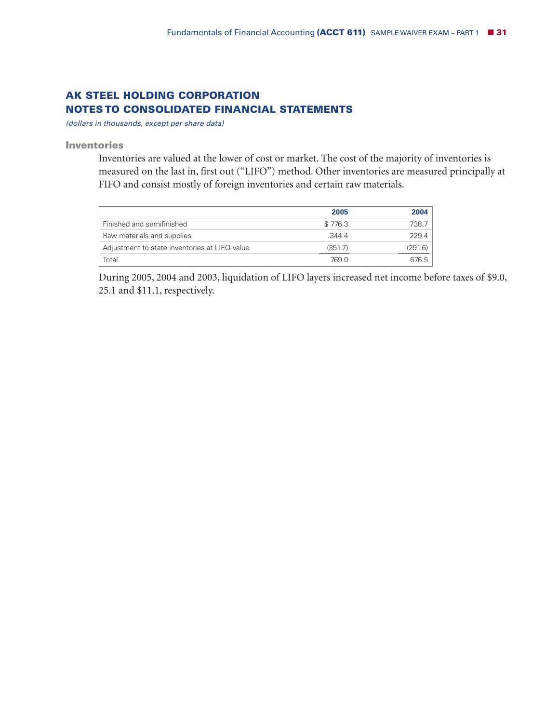# **AK STEEL HOLDING CORPORATION NOTES TO CONSOLIDATED FINANCIAL STATEMENTS**

*(dollars in thousands, except per share data)*

**Inventories**

Inventories are valued at the lower of cost or market. The cost of the majority of inventories is measured on the last in, first out ("LIFO") method. Other inventories are measured principally at FIFO and consist mostly of foreign inventories and certain raw materials.

|                                               | 2005    | 2004    |
|-----------------------------------------------|---------|---------|
| Finished and semifinished                     | \$776.3 | 738.7   |
| Raw materials and supplies                    | 3444    | 229.4   |
| Adjustment to state inventories at LIFO value | (351.7) | (291.6) |
| Total                                         | 769.0   | 6765    |

During 2005, 2004 and 2003, liquidation of LIFO layers increased net income before taxes of \$9.0, 25.1 and \$11.1, respectively.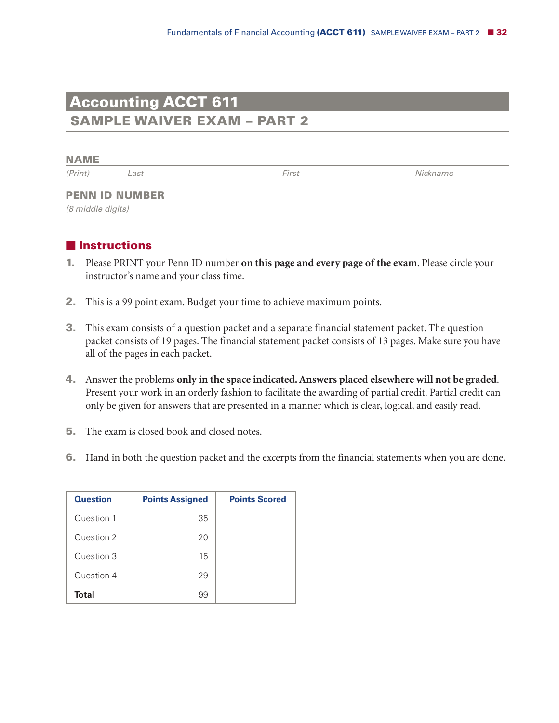# **Accounting ACCT 611 SAMPLE WAIVER EXAM – PART 2**

**NAME**

*(Print) Last First Nickname*

#### **PENN ID NUMBER**

*(8 middle digits)*

# **Instructions**

- **1.** Please PRINT your Penn ID number **on this page and every page of the exam**. Please circle your instructor's name and your class time.
- **2.** This is a 99 point exam. Budget your time to achieve maximum points.
- **3.** This exam consists of a question packet and a separate financial statement packet. The question packet consists of 19 pages. The financial statement packet consists of 13 pages. Make sure you have all of the pages in each packet.
- **4.** Answer the problems **only in the space indicated.Answers placed elsewhere will not be graded**. Present your work in an orderly fashion to facilitate the awarding of partial credit. Partial credit can only be given for answers that are presented in a manner which is clear, logical, and easily read.
- **5.** The exam is closed book and closed notes.
- **6.** Hand in both the question packet and the excerpts from the financial statements when you are done.

| <b>Question</b> | <b>Points Assigned</b> | <b>Points Scored</b> |
|-----------------|------------------------|----------------------|
| Question 1      | 35                     |                      |
| Question 2      | 20                     |                      |
| Question 3      | 15                     |                      |
| Question 4      | 29                     |                      |
| Total           | 99                     |                      |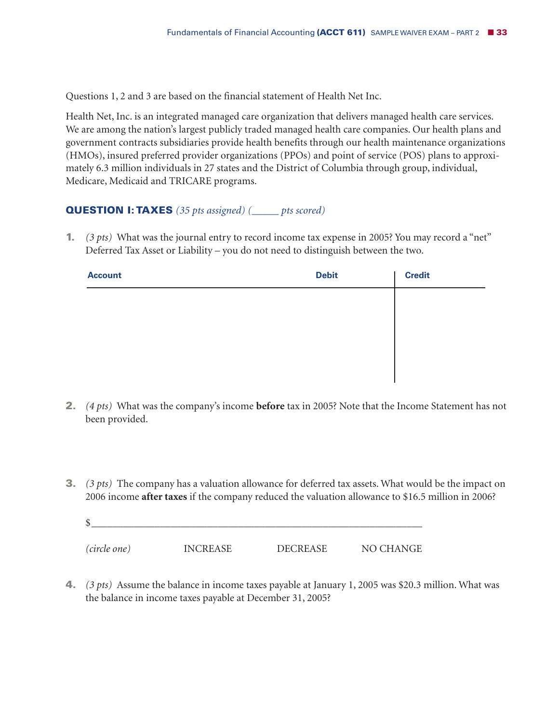Questions 1, 2 and 3 are based on the financial statement of Health Net Inc.

Health Net, Inc. is an integrated managed care organization that delivers managed health care services. We are among the nation's largest publicly traded managed health care companies. Our health plans and government contracts subsidiaries provide health benefits through our health maintenance organizations (HMOs), insured preferred provider organizations (PPOs) and point of service (POS) plans to approximately 6.3 million individuals in 27 states and the District of Columbia through group, individual, Medicare, Medicaid and TRICARE programs.

# **QUESTION I: TAXES** *(35 pts assigned) (\_\_\_\_\_ pts scored)*

**1.** *(3 pts)* What was the journal entry to record income tax expense in 2005? You may record a "net" Deferred Tax Asset or Liability – you do not need to distinguish between the two.

| <b>Account</b> | <b>Debit</b> | <b>Credit</b> |
|----------------|--------------|---------------|
|                |              |               |
|                |              |               |
|                |              |               |
|                |              |               |
|                |              |               |

- **2.** *(4 pts)* What was the company's income **before** tax in 2005? Note that the Income Statement has not been provided.
- **3.** *(3 pts)* The company has a valuation allowance for deferred tax assets. What would be the impact on 2006 income **after taxes** if the company reduced the valuation allowance to \$16.5 million in 2006?

| (circle one) | <b>INCREASE</b> | <b>DECREASE</b> | NO CHANGE |
|--------------|-----------------|-----------------|-----------|

**4.** *(3 pts)* Assume the balance in income taxes payable at January 1, 2005 was \$20.3 million. What was the balance in income taxes payable at December 31, 2005?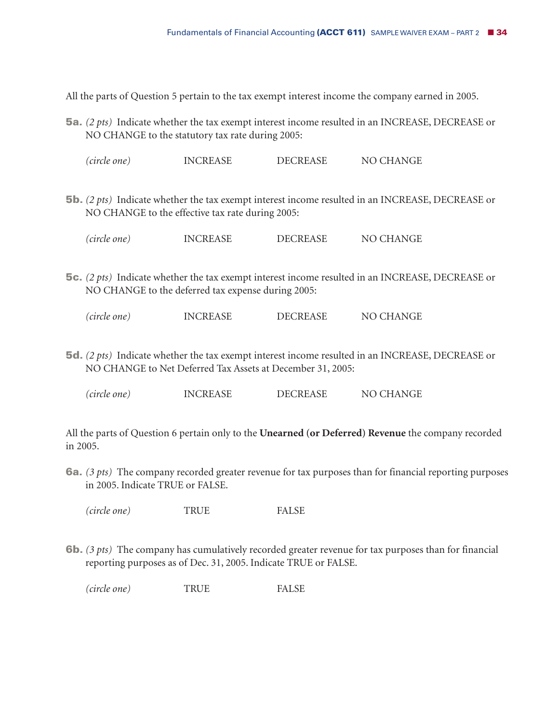All the parts of Question 5 pertain to the tax exempt interest income the company earned in 2005.

**5a.** *(2 pts)* Indicate whether the tax exempt interest income resulted in an INCREASE, DECREASE or NO CHANGE to the statutory tax rate during 2005:

*(circle one)* INCREASE DECREASE NO CHANGE

**5b.** *(2 pts)* Indicate whether the tax exempt interest income resulted in an INCREASE, DECREASE or NO CHANGE to the effective tax rate during 2005:

*(circle one)* INCREASE DECREASE NO CHANGE

**5c.** *(2 pts)* Indicate whether the tax exempt interest income resulted in an INCREASE, DECREASE or NO CHANGE to the deferred tax expense during 2005:

| (circle one) | <b>INCREASE</b> | <b>DECREASE</b> | NO CHANGE |
|--------------|-----------------|-----------------|-----------|
|--------------|-----------------|-----------------|-----------|

**5d.** *(2 pts)* Indicate whether the tax exempt interest income resulted in an INCREASE, DECREASE or NO CHANGE to Net Deferred Tax Assets at December 31, 2005:

*(circle one)* INCREASE DECREASE NO CHANGE

All the parts of Question 6 pertain only to the **Unearned (or Deferred) Revenue** the company recorded in 2005.

**6a.** *(3 pts)* The company recorded greater revenue for tax purposes than for financial reporting purposes in 2005. Indicate TRUE or FALSE.

*(circle one)* TRUE FALSE

**6b.** *(3 pts)* The company has cumulatively recorded greater revenue for tax purposes than for financial reporting purposes as of Dec. 31, 2005. Indicate TRUE or FALSE.

*(circle one)* TRUE FALSE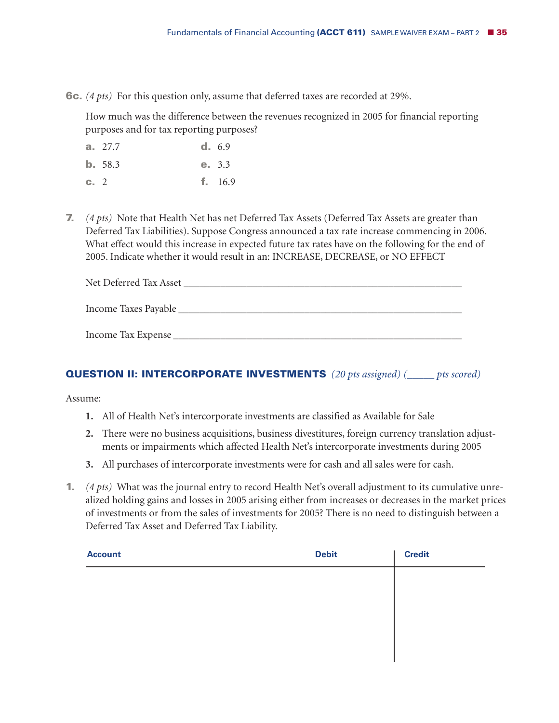**6c.** *(4 pts)* For this question only, assume that deferred taxes are recorded at 29%.

How much was the difference between the revenues recognized in 2005 for financial reporting purposes and for tax reporting purposes?

|           | a. 27.7 | d. 6.9    |
|-----------|---------|-----------|
|           | b. 58.3 | e. 3.3    |
| $c_{-}$ 2 |         | f. $16.9$ |

**7.** *(4 pts)* Note that Health Net has net Deferred Tax Assets (Deferred Tax Assets are greater than Deferred Tax Liabilities). Suppose Congress announced a tax rate increase commencing in 2006. What effect would this increase in expected future tax rates have on the following for the end of 2005. Indicate whether it would result in an: INCREASE, DECREASE, or NO EFFECT

| Net Deferred Tax Asset |  |  |
|------------------------|--|--|
| Income Taxes Payable   |  |  |
|                        |  |  |

## **QUESTION II: INTERCORPORATE INVESTMENTS** *(20 pts assigned) (\_\_\_\_\_ pts scored)*

Assume:

**1.** All of Health Net's intercorporate investments are classified as Available for Sale

Income Tax Expense \_\_\_\_\_\_\_\_\_\_\_\_\_\_\_\_\_\_\_\_\_\_\_\_\_\_\_\_\_\_\_\_\_\_\_\_\_\_\_\_\_\_\_\_\_\_\_\_\_\_\_\_\_\_\_

- **2.** There were no business acquisitions, business divestitures, foreign currency translation adjustments or impairments which affected Health Net's intercorporate investments during 2005
- **3.** All purchases of intercorporate investments were for cash and all sales were for cash.
- **1.** *(4 pts)* What was the journal entry to record Health Net's overall adjustment to its cumulative unrealized holding gains and losses in 2005 arising either from increases or decreases in the market prices of investments or from the sales of investments for 2005? There is no need to distinguish between a Deferred Tax Asset and Deferred Tax Liability.

| <b>Account</b> | <b>Debit</b> | <b>Credit</b> |
|----------------|--------------|---------------|
|                |              |               |
|                |              |               |
|                |              |               |
|                |              |               |
|                |              |               |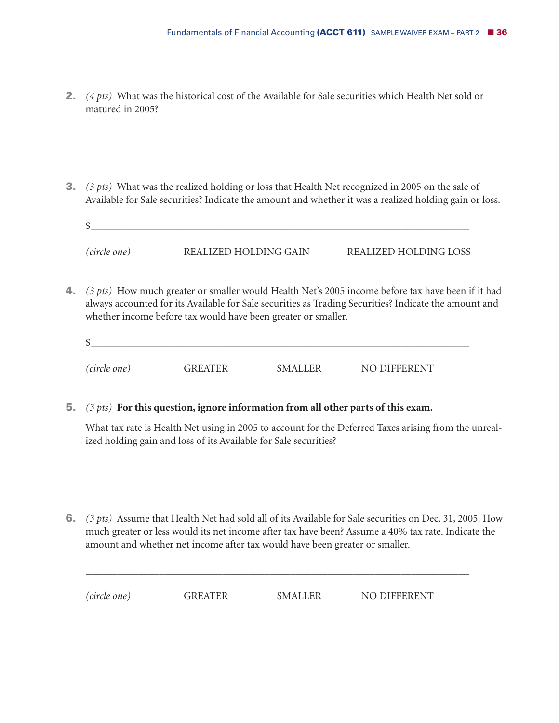- **2.** *(4 pts)* What was the historical cost of the Available for Sale securities which Health Net sold or matured in 2005?
- **3.** *(3 pts)* What was the realized holding or loss that Health Net recognized in 2005 on the sale of Available for Sale securities? Indicate the amount and whether it was a realized holding gain or loss.

| S            |                       |                       |
|--------------|-----------------------|-----------------------|
| (circle one) | REALIZED HOLDING GAIN | REALIZED HOLDING LOSS |

**4.** *(3 pts)* How much greater or smaller would Health Net's 2005 income before tax have been if it had always accounted for its Available for Sale securities as Trading Securities? Indicate the amount and whether income before tax would have been greater or smaller.

| \$           |                |                |              |
|--------------|----------------|----------------|--------------|
| (circle one) | <b>GREATER</b> | <b>SMALLER</b> | NO DIFFERENT |

**5.** *(3 pts)* **For this question, ignore information from all other parts of this exam.**

What tax rate is Health Net using in 2005 to account for the Deferred Taxes arising from the unrealized holding gain and loss of its Available for Sale securities?

**6.** *(3 pts)* Assume that Health Net had sold all of its Available for Sale securities on Dec. 31, 2005. How much greater or less would its net income after tax have been? Assume a 40% tax rate. Indicate the amount and whether net income after tax would have been greater or smaller.

\_\_\_\_\_\_\_\_\_\_\_\_\_\_\_\_\_\_\_\_\_\_\_\_\_\_\_\_\_\_\_\_\_\_\_\_\_\_\_\_\_\_\_\_\_\_\_\_\_\_\_\_\_\_\_\_\_\_\_\_\_\_\_\_\_\_\_\_\_\_\_\_\_

| (circle one) | <b>GREATER</b> | <b>SMALLER</b> | NO DIFFERENT |
|--------------|----------------|----------------|--------------|
|--------------|----------------|----------------|--------------|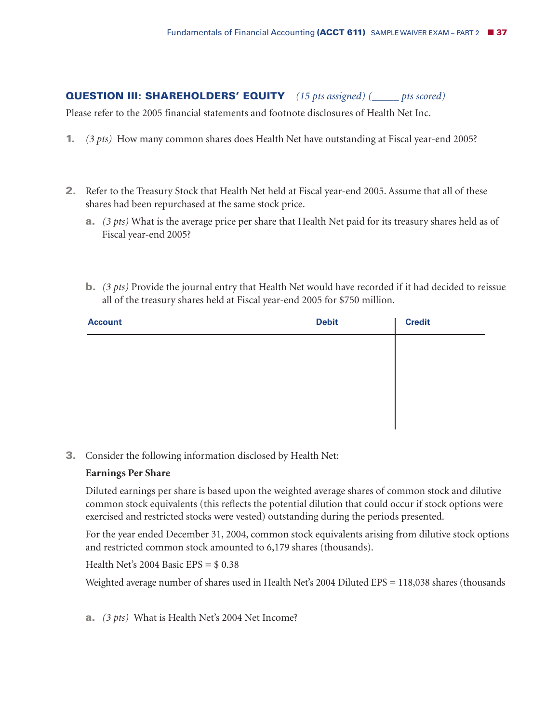# **QUESTION III: SHAREHOLDERS' EQUITY** *(15 pts assigned) (\_\_\_\_\_ pts scored)*

Please refer to the 2005 financial statements and footnote disclosures of Health Net Inc.

- **1.** *(3 pts)* How many common shares does Health Net have outstanding at Fiscal year-end 2005?
- **2.** Refer to the Treasury Stock that Health Net held at Fiscal year-end 2005. Assume that all of these shares had been repurchased at the same stock price.
	- **a.** *(3 pts)* What is the average price per share that Health Net paid for its treasury shares held as of Fiscal year-end 2005?
	- **b.** *(3 pts)* Provide the journal entry that Health Net would have recorded if it had decided to reissue all of the treasury shares held at Fiscal year-end 2005 for \$750 million.

| <b>Account</b> | <b>Debit</b> | <b>Credit</b> |
|----------------|--------------|---------------|
|                |              |               |
|                |              |               |
|                |              |               |
|                |              |               |
|                |              |               |

**3.** Consider the following information disclosed by Health Net:

## **Earnings Per Share**

Diluted earnings per share is based upon the weighted average shares of common stock and dilutive common stock equivalents (this reflects the potential dilution that could occur if stock options were exercised and restricted stocks were vested) outstanding during the periods presented.

For the year ended December 31, 2004, common stock equivalents arising from dilutive stock options and restricted common stock amounted to 6,179 shares (thousands).

Health Net's  $2004$  Basic EPS =  $$0.38$ 

Weighted average number of shares used in Health Net's 2004 Diluted EPS = 118,038 shares (thousands

**a.** *(3 pts)* What is Health Net's 2004 Net Income?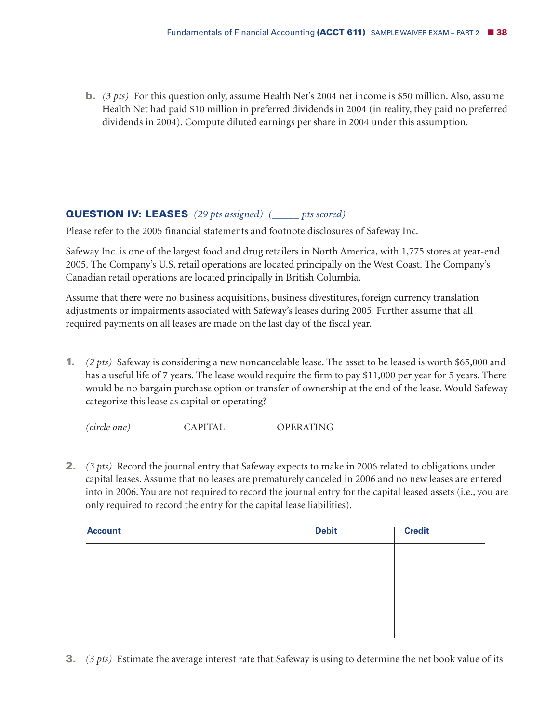**b.** *(3 pts)* For this question only, assume Health Net's 2004 net income is \$50 million. Also, assume Health Net had paid \$10 million in preferred dividends in 2004 (in reality, they paid no preferred dividends in 2004). Compute diluted earnings per share in 2004 under this assumption.

## **QUESTION IV: LEASES** *(29 pts assigned) (\_\_\_\_\_ pts scored)*

Please refer to the 2005 financial statements and footnote disclosures of Safeway Inc.

Safeway Inc. is one of the largest food and drug retailers in North America, with 1,775 stores at year-end 2005. The Company's U.S. retail operations are located principally on the West Coast. The Company's Canadian retail operations are located principally in British Columbia.

Assume that there were no business acquisitions, business divestitures, foreign currency translation adjustments or impairments associated with Safeway's leases during 2005. Further assume that all required payments on all leases are made on the last day of the fiscal year.

**1.** *(2 pts)* Safeway is considering a new noncancelable lease. The asset to be leased is worth \$65,000 and has a useful life of 7 years. The lease would require the firm to pay \$11,000 per year for 5 years. There would be no bargain purchase option or transfer of ownership at the end of the lease. Would Safeway categorize this lease as capital or operating?

*(circle one)* CAPITAL OPERATING

**2.** *(3 pts)* Record the journal entry that Safeway expects to make in 2006 related to obligations under capital leases. Assume that no leases are prematurely canceled in 2006 and no new leases are entered into in 2006. You are not required to record the journal entry for the capital leased assets (i.e., you are only required to record the entry for the capital lease liabilities).

| <b>Account</b> | <b>Debit</b> | <b>Credit</b> |
|----------------|--------------|---------------|
|                |              |               |
|                |              |               |
|                |              |               |
|                |              |               |
|                |              |               |

**3.** *(3 pts)* Estimate the average interest rate that Safeway is using to determine the net book value of its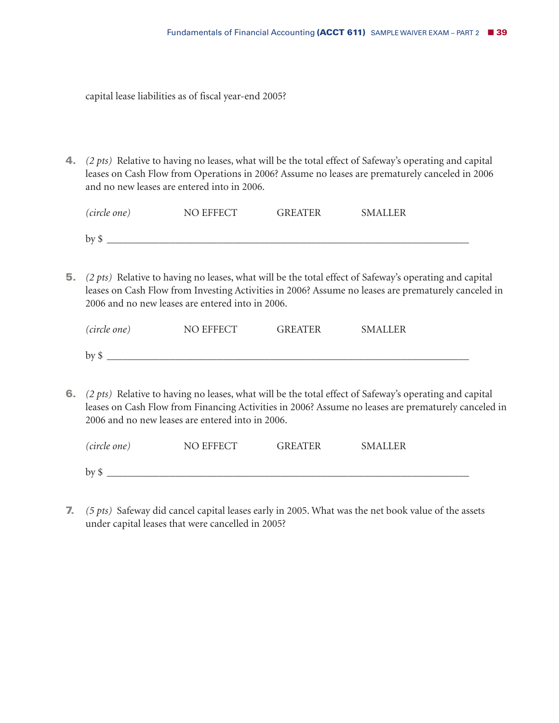capital lease liabilities as of fiscal year-end 2005?

**4.** *(2 pts)* Relative to having no leases, what will be the total effect of Safeway's operating and capital leases on Cash Flow from Operations in 2006? Assume no leases are prematurely canceled in 2006 and no new leases are entered into in 2006.

| (circle one) | NO EFFECT | <b>GREATER</b> | <b>SMALLER</b> |
|--------------|-----------|----------------|----------------|
| $by$ \$      |           |                |                |

**5.** *(2 pts)* Relative to having no leases, what will be the total effect of Safeway's operating and capital leases on Cash Flow from Investing Activities in 2006? Assume no leases are prematurely canceled in 2006 and no new leases are entered into in 2006.

| <i>(circle one)</i> | NO EFFECT | <b>GREATER</b> | <b>SMALLER</b> |
|---------------------|-----------|----------------|----------------|
| $by$ \$             |           |                |                |

**6.** *(2 pts)* Relative to having no leases, what will be the total effect of Safeway's operating and capital leases on Cash Flow from Financing Activities in 2006? Assume no leases are prematurely canceled in 2006 and no new leases are entered into in 2006.

| (circle one) | NO EFFECT | <b>GREATER</b> | <b>SMALLER</b> |
|--------------|-----------|----------------|----------------|
| $by$ \$      |           |                |                |

**7.** *(5 pts)* Safeway did cancel capital leases early in 2005. What was the net book value of the assets under capital leases that were cancelled in 2005?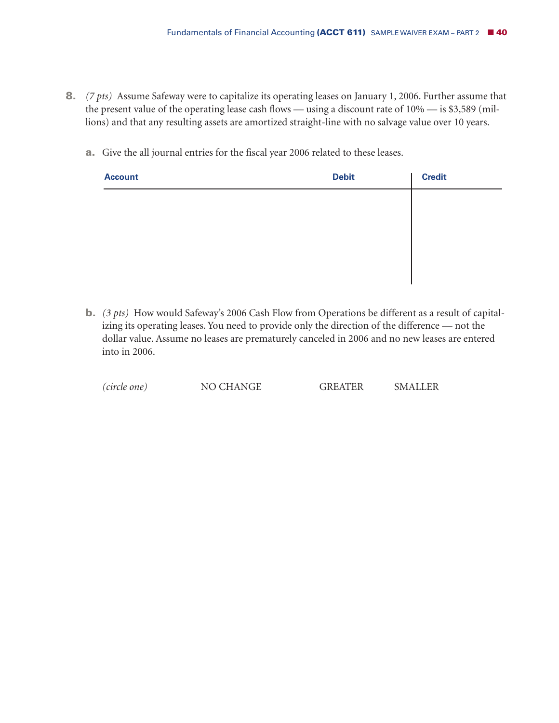- **8.** *(7 pts)* Assume Safeway were to capitalize its operating leases on January 1, 2006. Further assume that the present value of the operating lease cash flows — using a discount rate of 10% — is \$3,589 (millions) and that any resulting assets are amortized straight-line with no salvage value over 10 years.
	- **a.** Give the all journal entries for the fiscal year 2006 related to these leases.

| <b>Account</b> | <b>Debit</b> | <b>Credit</b> |
|----------------|--------------|---------------|
|                |              |               |
|                |              |               |
|                |              |               |
|                |              |               |
|                |              |               |

**b.** *(3 pts)* How would Safeway's 2006 Cash Flow from Operations be different as a result of capitalizing its operating leases. You need to provide only the direction of the difference — not the dollar value. Assume no leases are prematurely canceled in 2006 and no new leases are entered into in 2006.

| <b>NO CHANGE</b><br>(circle one) | <b>GREATER</b> | <b>SMALLER</b> |
|----------------------------------|----------------|----------------|
|----------------------------------|----------------|----------------|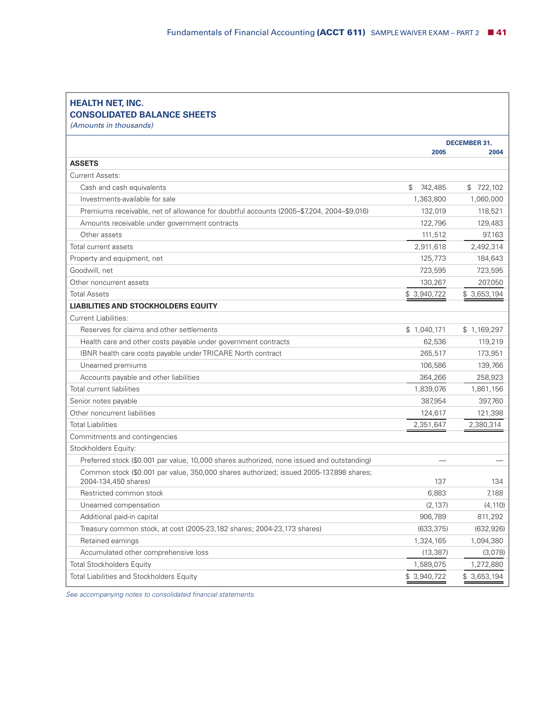| <b>HEALTH NET, INC.</b> |                                    |
|-------------------------|------------------------------------|
|                         | <b>CONSOLIDATED BALANCE SHEETS</b> |

*(Amounts in thousands)*

|                                                                                                                 |               | <b>DECEMBER 31,</b> |
|-----------------------------------------------------------------------------------------------------------------|---------------|---------------------|
|                                                                                                                 | 2005          | 2004                |
| <b>ASSETS</b>                                                                                                   |               |                     |
| Current Assets:                                                                                                 |               |                     |
| Cash and cash equivalents                                                                                       | \$<br>742,485 | \$722,102           |
| Investments-available for sale                                                                                  | 1,363,800     | 1,060,000           |
| Premiums receivable, net of allowance for doubtful accounts (2005–\$7,204, 2004–\$9,016)                        | 132,019       | 118,521             |
| Amounts receivable under government contracts                                                                   | 122,796       | 129,483             |
| Other assets                                                                                                    | 111,512       | 97,163              |
| Total current assets                                                                                            | 2,911,618     | 2,492,314           |
| Property and equipment, net                                                                                     | 125,773       | 184,643             |
| Goodwill, net                                                                                                   | 723,595       | 723,595             |
| Other noncurrent assets                                                                                         | 130,267       | 207,050             |
| <b>Total Assets</b>                                                                                             | \$3,940,722   | \$3,653,194         |
| <b>LIABILITIES AND STOCKHOLDERS EQUITY</b>                                                                      |               |                     |
| <b>Current Liabilities:</b>                                                                                     |               |                     |
| Reserves for claims and other settlements                                                                       | \$1,040,171   | \$1,169,297         |
| Health care and other costs payable under government contracts                                                  | 62,536        | 119,219             |
| IBNR health care costs payable under TRICARE North contract                                                     | 265,517       | 173,951             |
| Unearned premiums                                                                                               | 106,586       | 139,766             |
| Accounts payable and other liabilities                                                                          | 364,266       | 258,923             |
| Total current liabilities                                                                                       | 1,839,076     | 1,861,156           |
| Senior notes payable                                                                                            | 387,954       | 397,760             |
| Other noncurrent liabilities                                                                                    | 124,617       | 121,398             |
| <b>Total Liabilities</b>                                                                                        | 2,351,647     | 2,380,314           |
| Commitments and contingencies                                                                                   |               |                     |
| Stockholders Equity:                                                                                            |               |                     |
| Preferred stock (\$0.001 par value, 10,000 shares authorized, none issued and outstanding)                      |               |                     |
| Common stock (\$0.001 par value, 350,000 shares authorized; issued 2005-137,898 shares;<br>2004-134,450 shares) | 137           | 134                 |
| Restricted common stock                                                                                         | 6,883         | 7,188               |
| Unearned compensation                                                                                           | (2, 137)      | (4, 110)            |
| Additional paid-in capital                                                                                      | 906,789       | 811,292             |
| Treasury common stock, at cost (2005-23, 182 shares; 2004-23, 173 shares)                                       | (633, 375)    | (632, 926)          |
| Retained earnings                                                                                               | 1,324,165     | 1,094,380           |
| Accumulated other comprehensive loss                                                                            | (13, 387)     | (3,078)             |
| <b>Total Stockholders Equity</b>                                                                                | 1,589,075     | 1,272,880           |
| <b>Total Liabilities and Stockholders Equity</b>                                                                | \$ 3,940,722  | \$3,653,194         |

*See accompanying notes to consolidated financial statements.*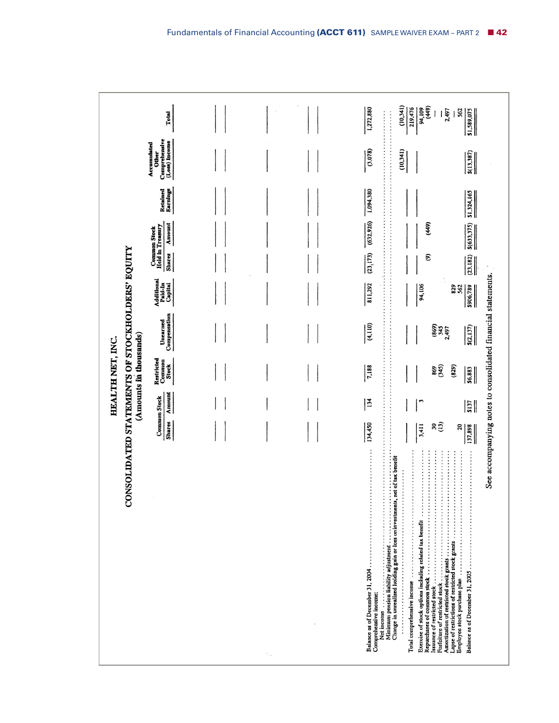|                                                    | Total<br>Comprehensive<br>(Loss) Income<br>Accumulated<br><b>Other</b> |                   | 1,272,880<br>.<br>.<br>(3.078)                           | (10,341)<br>94,109<br>(449)<br>219,476<br>2,497<br>562<br>\$1,589,075<br>(10,341)<br>$\frac{$(13,387)}{2}$                                                                                                                                                                                      |
|----------------------------------------------------|------------------------------------------------------------------------|-------------------|----------------------------------------------------------|-------------------------------------------------------------------------------------------------------------------------------------------------------------------------------------------------------------------------------------------------------------------------------------------------|
|                                                    | Earnings<br>Retained                                                   |                   | .<br>1,094,380                                           | \$1,324,165                                                                                                                                                                                                                                                                                     |
|                                                    | Amount<br>Common Stock<br>Held in Treasury<br><b>Shares</b>            |                   | (632, 926)<br>.<br>(23, 173)<br>.                        | (449)<br>\$(633,375)<br>ව<br>(23.182)                                                                                                                                                                                                                                                           |
|                                                    | Additional<br>Paid-In<br>Capital                                       |                   | .<br>811,292                                             | 94,106<br><b>829</b><br>562<br>\$906,789                                                                                                                                                                                                                                                        |
|                                                    | Compensation<br>Unearned                                               |                   | (4,110)                                                  | (869)<br>345<br>5(2,137)<br>2,497                                                                                                                                                                                                                                                               |
| (Amounts in thousands)<br>HEALTH NET, INC.         | Restricted<br>Common<br><b>Stock</b>                                   |                   | 7,188                                                    | 869<br>(345)<br>(829)<br>56.883                                                                                                                                                                                                                                                                 |
|                                                    | Amount<br><b>Common Stock</b><br>Shares                                |                   | 134<br>134,450                                           | ŗ<br>$\frac{5137}{2}$<br>$\frac{30}{2}$<br>3,411<br>20<br>137,898                                                                                                                                                                                                                               |
| NSOLIDATED STATEMENTS OF STOCKHOLDERS' EQUITY<br>ర |                                                                        | $\tau_{\rm crit}$ | Balance as of December 31, 2004<br>Comprehensive income: | See accompanying notes to consolidated financial statements.<br>.<br><br>.<br><br>.<br>.<br>.<br>.<br>Exercise of stock options including related tax benefit<br>Amortization of restricted stock grants<br>Lapse of restrictions of restricted stock grants<br>Balance as of December 31, 2005 |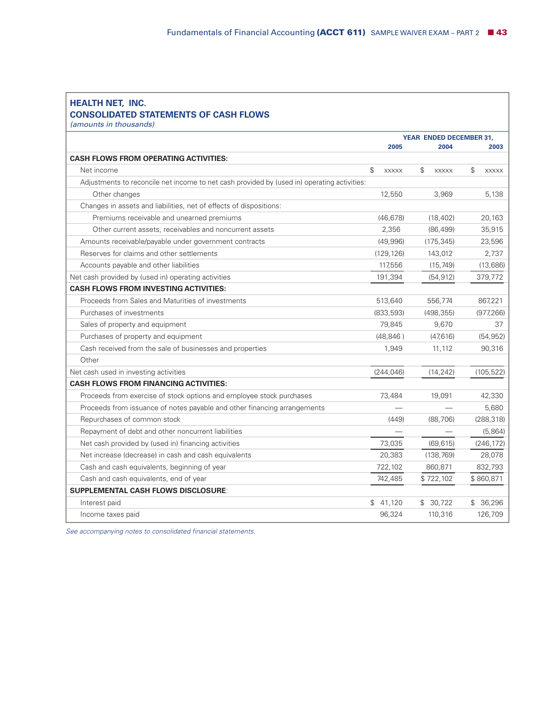#### **HEALTH NET, INC. CONSOLIDATED STATEMENTS OF CASH FLOWS**

*(amounts in thousands)*

|                                                                                             | <b>YEAR ENDED DECEMBER 31.</b> |                               |                              |
|---------------------------------------------------------------------------------------------|--------------------------------|-------------------------------|------------------------------|
|                                                                                             | 2005                           | 2004                          | 2003                         |
| <b>CASH FLOWS FROM OPERATING ACTIVITIES:</b>                                                |                                |                               |                              |
| Net income                                                                                  | \$<br><b>XXXXX</b>             | $\mathcal{L}$<br><b>XXXXX</b> | $\mathbb{S}$<br><b>XXXXX</b> |
| Adjustments to reconcile net income to net cash provided by (used in) operating activities: |                                |                               |                              |
| Other changes                                                                               | 12,550                         | 3,969                         | 5,138                        |
| Changes in assets and liabilities, net of effects of dispositions:                          |                                |                               |                              |
| Premiums receivable and unearned premiums                                                   | (46, 678)                      | (18, 402)                     | 20,163                       |
| Other current assets, receivables and noncurrent assets                                     | 2,356                          | (86, 499)                     | 35,915                       |
| Amounts receivable/payable under government contracts                                       | (49,996)                       | (175, 345)                    | 23,596                       |
| Reserves for claims and other settlements                                                   | (129, 126)                     | 143,012                       | 2,737                        |
| Accounts payable and other liabilities                                                      | 117,556                        | (15,749)                      | (13,686)                     |
| Net cash provided by (used in) operating activities                                         | 191,394                        | (54, 912)                     | 379,772                      |
| <b>CASH FLOWS FROM INVESTING ACTIVITIES:</b>                                                |                                |                               |                              |
| Proceeds from Sales and Maturities of investments                                           | 513,640                        | 556,774                       | 867,221                      |
| Purchases of investments                                                                    | (833, 593)                     | (498, 355)                    | (977, 266)                   |
| Sales of property and equipment                                                             | 79,845                         | 9,670                         | 37                           |
| Purchases of property and equipment                                                         | (48, 846)                      | (47,616)                      | (54, 952)                    |
| Cash received from the sale of businesses and properties                                    | 1,949                          | 11,112                        | 90,316                       |
| Other                                                                                       |                                |                               |                              |
| Net cash used in investing activities                                                       | (244, 046)                     | (14, 242)                     | (105, 522)                   |
| <b>CASH FLOWS FROM FINANCING ACTIVITIES:</b>                                                |                                |                               |                              |
| Proceeds from exercise of stock options and employee stock purchases                        | 73,484                         | 19,091                        | 42,330                       |
| Proceeds from issuance of notes payable and other financing arrangements                    |                                |                               | 5,680                        |
| Repurchases of common stock                                                                 | (449)                          | (88, 706)                     | (288, 318)                   |
| Repayment of debt and other noncurrent liabilities                                          |                                |                               | (5,864)                      |
| Net cash provided by (used in) financing activities                                         | 73,035                         | (69, 615)                     | (246, 172)                   |
| Net increase (decrease) in cash and cash equivalents                                        | 20,383                         | (138, 769)                    | 28,078                       |
| Cash and cash equivalents, beginning of year                                                | 722,102                        | 860,871                       | 832,793                      |
| Cash and cash equivalents, end of year                                                      | 742,485                        | \$722,102                     | \$860,871                    |
| <b>SUPPLEMENTAL CASH FLOWS DISCLOSURE:</b>                                                  |                                |                               |                              |
| Interest paid                                                                               | \$41,120                       | \$30,722                      | \$ 36,296                    |
| Income taxes paid                                                                           | 96,324                         | 110,316                       | 126,709                      |

*See accompanying notes to consolidated financial statements.*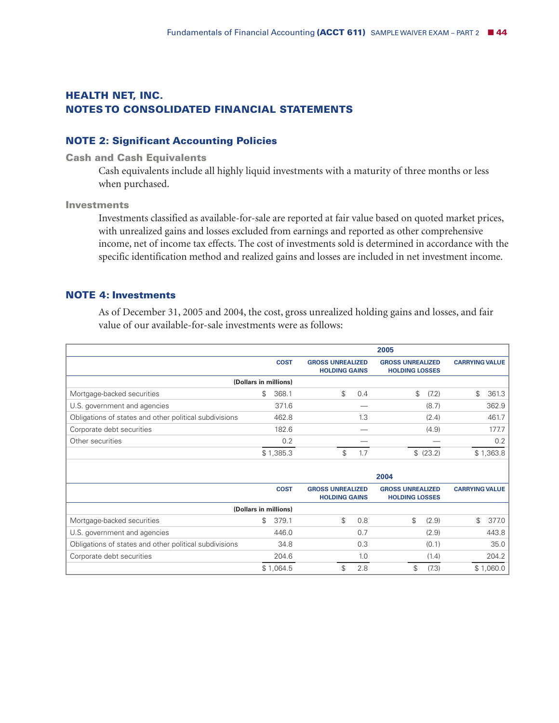# **HEALTH NET, INC. NOTES TO CONSOLIDATED FINANCIAL STATEMENTS**

### **NOTE 2: Significant Accounting Policies**

#### **Cash and Cash Equivalents**

Cash equivalents include all highly liquid investments with a maturity of three months or less when purchased.

#### **Investments**

Investments classified as available-for-sale are reported at fair value based on quoted market prices, with unrealized gains and losses excluded from earnings and reported as other comprehensive income, net of income tax effects. The cost of investments sold is determined in accordance with the specific identification method and realized gains and losses are included in net investment income.

#### **NOTE 4: Investments**

As of December 31, 2005 and 2004, the cost, gross unrealized holding gains and losses, and fair value of our available-for-sale investments were as follows:

|                                                        |                       |             |                                                 |     | 2005                                             |           |                       |           |
|--------------------------------------------------------|-----------------------|-------------|-------------------------------------------------|-----|--------------------------------------------------|-----------|-----------------------|-----------|
|                                                        |                       | <b>COST</b> | <b>GROSS UNREALIZED</b><br><b>HOLDING GAINS</b> |     | <b>GROSS UNREALIZED</b><br><b>HOLDING LOSSES</b> |           | <b>CARRYING VALUE</b> |           |
|                                                        | (Dollars in millions) |             |                                                 |     |                                                  |           |                       |           |
| Mortgage-backed securities                             | \$                    | 368.1       | \$                                              | 0.4 | \$                                               | (7.2)     | \$                    | 361.3     |
| U.S. government and agencies                           |                       | 371.6       |                                                 |     |                                                  | (8.7)     |                       | 362.9     |
| Obligations of states and other political subdivisions |                       | 462.8       |                                                 | 1.3 |                                                  | (2.4)     |                       | 461.7     |
| Corporate debt securities                              |                       | 182.6       |                                                 |     |                                                  | (4.9)     |                       | 177.7     |
| Other securities                                       |                       | 0.2         |                                                 |     |                                                  |           |                       | 0.2       |
|                                                        |                       | \$1,385.3   | \$                                              | 1.7 |                                                  | \$ (23.2) |                       | \$1,363.8 |
|                                                        |                       |             |                                                 |     |                                                  |           |                       |           |

|                                                        |                       |                                                 |     | 2004                                             |       |                       |           |
|--------------------------------------------------------|-----------------------|-------------------------------------------------|-----|--------------------------------------------------|-------|-----------------------|-----------|
|                                                        | <b>COST</b>           | <b>GROSS UNREALIZED</b><br><b>HOLDING GAINS</b> |     | <b>GROSS UNREALIZED</b><br><b>HOLDING LOSSES</b> |       | <b>CARRYING VALUE</b> |           |
|                                                        | (Dollars in millions) |                                                 |     |                                                  |       |                       |           |
| Mortgage-backed securities                             | \$<br>379.1           | \$.                                             | 0.8 | \$                                               | (2.9) | \$.                   | 377.0     |
| U.S. government and agencies                           | 446.0                 |                                                 | 0.7 |                                                  | (2.9) |                       | 443.8     |
| Obligations of states and other political subdivisions | 34.8                  |                                                 | 0.3 |                                                  | (0.1) |                       | 35.0      |
| Corporate debt securities                              | 204.6                 |                                                 | 1.0 |                                                  | (1.4) |                       | 204.2     |
|                                                        | \$1,064.5             |                                                 | 2.8 |                                                  | (7.3) |                       | \$1,060.0 |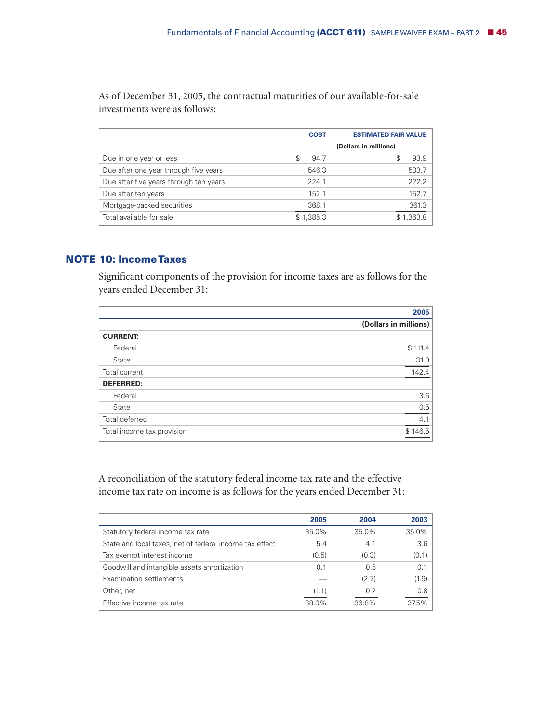As of December 31, 2005, the contractual maturities of our available-for-sale investments were as follows:

|                                        | <b>COST</b> | <b>ESTIMATED FAIR VALUE</b> |
|----------------------------------------|-------------|-----------------------------|
|                                        |             | (Dollars in millions)       |
| Due in one year or less                | 94.7<br>S   | 93.9<br>\$                  |
| Due after one year through five years  | 546.3       | 533.7                       |
| Due after five years through ten years | 224.1       | 222.2                       |
| Due after ten years                    | 152.1       | 152.7                       |
| Mortgage-backed securities             | 368.1       | 361.3                       |
| Total available for sale               | \$1,385.3   | \$1,363.8                   |

### **NOTE 10: IncomeTaxes**

Significant components of the provision for income taxes are as follows for the years ended December 31:

|                            | 2005                  |
|----------------------------|-----------------------|
|                            | (Dollars in millions) |
| <b>CURRENT:</b>            |                       |
| Federal                    | \$111.4               |
| State                      | 31.0                  |
| Total current              | 142.4                 |
| <b>DEFERRED:</b>           |                       |
| Federal                    | 3.6                   |
| State                      | 0.5                   |
| Total deferred             | 4.1                   |
| Total income tax provision | \$146.5               |
|                            |                       |

A reconciliation of the statutory federal income tax rate and the effective income tax rate on income is as follows for the years ended December 31:

|                                                         | 2005  | 2004  | 2003  |
|---------------------------------------------------------|-------|-------|-------|
| Statutory federal income tax rate                       | 35.0% | 35.0% | 35.0% |
| State and local taxes, net of federal income tax effect | 5.4   | 4.1   | 3.6   |
| Tax exempt interest income                              | (0.5) | (0.3) | (0.1) |
| Goodwill and intangible assets amortization             | 0.1   | 0.5   | 0.1   |
| Examination settlements                                 |       | (2.7) | (1.9) |
| Other, net                                              | (1.1) | 0.2   | 0.8   |
| Effective income tax rate                               | 38.9% | 36.8% | 37.5% |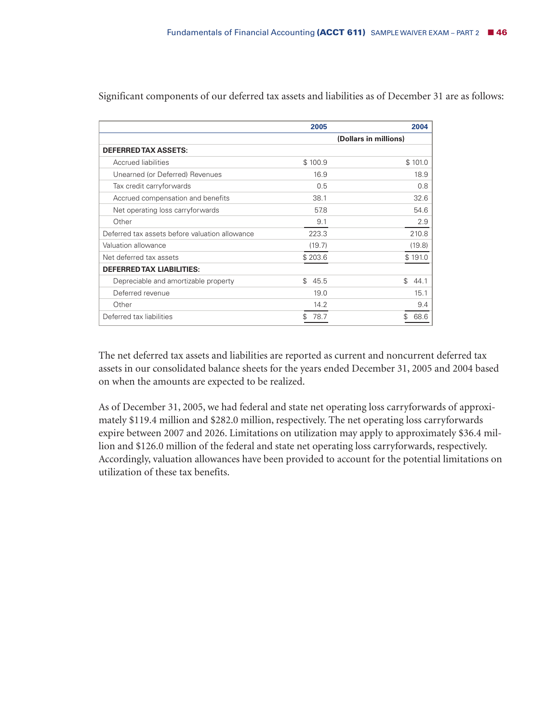|                                                | 2005        | 2004                  |
|------------------------------------------------|-------------|-----------------------|
|                                                |             | (Dollars in millions) |
| <b>DEFERRED TAX ASSETS:</b>                    |             |                       |
| Accrued liabilities                            | \$100.9     | \$101.0               |
| Unearned (or Deferred) Revenues                | 16.9        | 18.9                  |
| Tax credit carryforwards                       | 0.5         | 0.8                   |
| Accrued compensation and benefits              | 38.1        | 32.6                  |
| Net operating loss carryforwards               | 57.8        | 54.6                  |
| Other                                          | 9.1         | 2.9                   |
| Deferred tax assets before valuation allowance | 223.3       | 210.8                 |
| Valuation allowance                            | (19.7)      | (19.8)                |
| Net deferred tax assets                        | \$203.6     | \$191.0               |
| <b>DEFERRED TAX LIABILITIES:</b>               |             |                       |
| Depreciable and amortizable property           | \$.<br>45.5 | \$.<br>44.1           |
| Deferred revenue                               | 19.0        | 15.1                  |
| Other                                          | 14.2        | 9.4                   |
| Deferred tax liabilities                       | 78.7        | \$<br>68.6            |

Significant components of our deferred tax assets and liabilities as of December 31 are as follows:

The net deferred tax assets and liabilities are reported as current and noncurrent deferred tax assets in our consolidated balance sheets for the years ended December 31, 2005 and 2004 based on when the amounts are expected to be realized.

As of December 31, 2005, we had federal and state net operating loss carryforwards of approximately \$119.4 million and \$282.0 million, respectively. The net operating loss carryforwards expire between 2007 and 2026. Limitations on utilization may apply to approximately \$36.4 million and \$126.0 million of the federal and state net operating loss carryforwards, respectively. Accordingly, valuation allowances have been provided to account for the potential limitations on utilization of these tax benefits.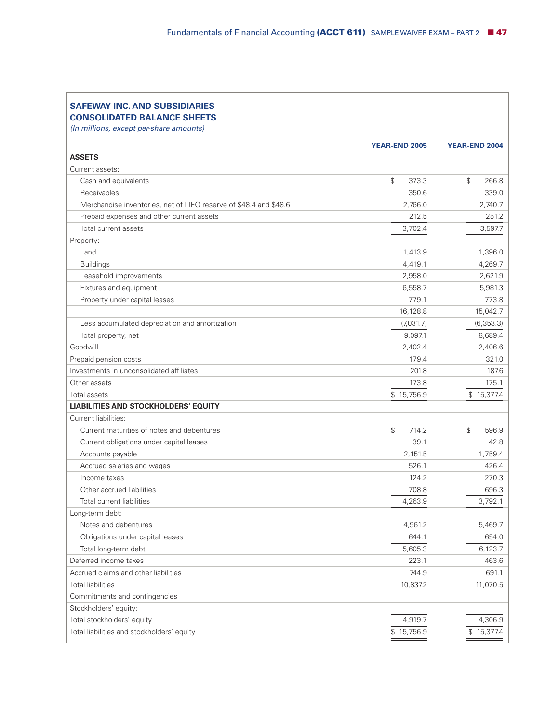#### **SAFEWAY INC. AND SUBSIDIARIES CONSOLIDATED BALANCE SHEETS**

*(In millions, except per-share amounts)*

| <b>ASSETS</b><br>Current assets:<br>$\mathfrak{P}$<br>373.3<br>\$<br>266.8<br>Cash and equivalents<br>Receivables<br>350.6<br>339.0<br>Merchandise inventories, net of LIFO reserve of \$48.4 and \$48.6<br>2,766.0<br>2,740.7<br>Prepaid expenses and other current assets<br>212.5<br>251.2<br>3,597.7<br>Total current assets<br>3,702.4<br>Property:<br>Land<br>1,413.9<br>1,396.0<br><b>Buildings</b><br>4,419.1<br>4,269.7<br>Leasehold improvements<br>2,958.0<br>2,621.9<br>Fixtures and equipment<br>6,558.7<br>5,981.3<br>Property under capital leases<br>779.1<br>773.8<br>16,128.8<br>15,042.7<br>Less accumulated depreciation and amortization<br>(7,031.7)<br>(6,353.3)<br>9,097.1<br>8,689.4<br>Total property, net<br>Goodwill<br>2,402.4<br>2,406.6<br>Prepaid pension costs<br>179.4<br>321.0<br>Investments in unconsolidated affiliates<br>201.8<br>187.6<br>Other assets<br>173.8<br>175.1<br>\$15,756.9<br>Total assets<br>\$15,377.4<br><b>LIABILITIES AND STOCKHOLDERS' EQUITY</b><br>Current liabilities:<br>Current maturities of notes and debentures<br>$\mathbb S$<br>714.2<br>\$<br>596.9<br>39.1<br>Current obligations under capital leases<br>42.8<br>Accounts payable<br>2,151.5<br>1,759.4<br>Accrued salaries and wages<br>526.1<br>426.4<br>124.2<br>270.3<br>Income taxes<br>Other accrued liabilities<br>708.8<br>696.3<br>4,263.9<br>3,792.1<br>Total current liabilities<br>Long-term debt:<br>Notes and debentures<br>4.961.2<br>5,469.7<br>644.1<br>654.0<br>Obligations under capital leases<br>5,605.3<br>6,123.7<br>Total long-term debt<br>Deferred income taxes<br>223.1<br>463.6<br>Accrued claims and other liabilities<br>744.9<br>691.1<br><b>Total liabilities</b><br>10,837.2<br>11,070.5<br>Commitments and contingencies<br>Stockholders' equity:<br>Total stockholders' equity<br>4,919.7<br>4,306.9<br>Total liabilities and stockholders' equity<br>\$15,756.9<br>\$15,377.4 | YEAR-END 2005 | YEAR-END 2004 |
|-------------------------------------------------------------------------------------------------------------------------------------------------------------------------------------------------------------------------------------------------------------------------------------------------------------------------------------------------------------------------------------------------------------------------------------------------------------------------------------------------------------------------------------------------------------------------------------------------------------------------------------------------------------------------------------------------------------------------------------------------------------------------------------------------------------------------------------------------------------------------------------------------------------------------------------------------------------------------------------------------------------------------------------------------------------------------------------------------------------------------------------------------------------------------------------------------------------------------------------------------------------------------------------------------------------------------------------------------------------------------------------------------------------------------------------------------------------------------------------------------------------------------------------------------------------------------------------------------------------------------------------------------------------------------------------------------------------------------------------------------------------------------------------------------------------------------------------------------------------------------------------------------------------------------------------------|---------------|---------------|
|                                                                                                                                                                                                                                                                                                                                                                                                                                                                                                                                                                                                                                                                                                                                                                                                                                                                                                                                                                                                                                                                                                                                                                                                                                                                                                                                                                                                                                                                                                                                                                                                                                                                                                                                                                                                                                                                                                                                           |               |               |
|                                                                                                                                                                                                                                                                                                                                                                                                                                                                                                                                                                                                                                                                                                                                                                                                                                                                                                                                                                                                                                                                                                                                                                                                                                                                                                                                                                                                                                                                                                                                                                                                                                                                                                                                                                                                                                                                                                                                           |               |               |
|                                                                                                                                                                                                                                                                                                                                                                                                                                                                                                                                                                                                                                                                                                                                                                                                                                                                                                                                                                                                                                                                                                                                                                                                                                                                                                                                                                                                                                                                                                                                                                                                                                                                                                                                                                                                                                                                                                                                           |               |               |
|                                                                                                                                                                                                                                                                                                                                                                                                                                                                                                                                                                                                                                                                                                                                                                                                                                                                                                                                                                                                                                                                                                                                                                                                                                                                                                                                                                                                                                                                                                                                                                                                                                                                                                                                                                                                                                                                                                                                           |               |               |
|                                                                                                                                                                                                                                                                                                                                                                                                                                                                                                                                                                                                                                                                                                                                                                                                                                                                                                                                                                                                                                                                                                                                                                                                                                                                                                                                                                                                                                                                                                                                                                                                                                                                                                                                                                                                                                                                                                                                           |               |               |
|                                                                                                                                                                                                                                                                                                                                                                                                                                                                                                                                                                                                                                                                                                                                                                                                                                                                                                                                                                                                                                                                                                                                                                                                                                                                                                                                                                                                                                                                                                                                                                                                                                                                                                                                                                                                                                                                                                                                           |               |               |
|                                                                                                                                                                                                                                                                                                                                                                                                                                                                                                                                                                                                                                                                                                                                                                                                                                                                                                                                                                                                                                                                                                                                                                                                                                                                                                                                                                                                                                                                                                                                                                                                                                                                                                                                                                                                                                                                                                                                           |               |               |
|                                                                                                                                                                                                                                                                                                                                                                                                                                                                                                                                                                                                                                                                                                                                                                                                                                                                                                                                                                                                                                                                                                                                                                                                                                                                                                                                                                                                                                                                                                                                                                                                                                                                                                                                                                                                                                                                                                                                           |               |               |
|                                                                                                                                                                                                                                                                                                                                                                                                                                                                                                                                                                                                                                                                                                                                                                                                                                                                                                                                                                                                                                                                                                                                                                                                                                                                                                                                                                                                                                                                                                                                                                                                                                                                                                                                                                                                                                                                                                                                           |               |               |
|                                                                                                                                                                                                                                                                                                                                                                                                                                                                                                                                                                                                                                                                                                                                                                                                                                                                                                                                                                                                                                                                                                                                                                                                                                                                                                                                                                                                                                                                                                                                                                                                                                                                                                                                                                                                                                                                                                                                           |               |               |
|                                                                                                                                                                                                                                                                                                                                                                                                                                                                                                                                                                                                                                                                                                                                                                                                                                                                                                                                                                                                                                                                                                                                                                                                                                                                                                                                                                                                                                                                                                                                                                                                                                                                                                                                                                                                                                                                                                                                           |               |               |
|                                                                                                                                                                                                                                                                                                                                                                                                                                                                                                                                                                                                                                                                                                                                                                                                                                                                                                                                                                                                                                                                                                                                                                                                                                                                                                                                                                                                                                                                                                                                                                                                                                                                                                                                                                                                                                                                                                                                           |               |               |
|                                                                                                                                                                                                                                                                                                                                                                                                                                                                                                                                                                                                                                                                                                                                                                                                                                                                                                                                                                                                                                                                                                                                                                                                                                                                                                                                                                                                                                                                                                                                                                                                                                                                                                                                                                                                                                                                                                                                           |               |               |
|                                                                                                                                                                                                                                                                                                                                                                                                                                                                                                                                                                                                                                                                                                                                                                                                                                                                                                                                                                                                                                                                                                                                                                                                                                                                                                                                                                                                                                                                                                                                                                                                                                                                                                                                                                                                                                                                                                                                           |               |               |
|                                                                                                                                                                                                                                                                                                                                                                                                                                                                                                                                                                                                                                                                                                                                                                                                                                                                                                                                                                                                                                                                                                                                                                                                                                                                                                                                                                                                                                                                                                                                                                                                                                                                                                                                                                                                                                                                                                                                           |               |               |
|                                                                                                                                                                                                                                                                                                                                                                                                                                                                                                                                                                                                                                                                                                                                                                                                                                                                                                                                                                                                                                                                                                                                                                                                                                                                                                                                                                                                                                                                                                                                                                                                                                                                                                                                                                                                                                                                                                                                           |               |               |
|                                                                                                                                                                                                                                                                                                                                                                                                                                                                                                                                                                                                                                                                                                                                                                                                                                                                                                                                                                                                                                                                                                                                                                                                                                                                                                                                                                                                                                                                                                                                                                                                                                                                                                                                                                                                                                                                                                                                           |               |               |
|                                                                                                                                                                                                                                                                                                                                                                                                                                                                                                                                                                                                                                                                                                                                                                                                                                                                                                                                                                                                                                                                                                                                                                                                                                                                                                                                                                                                                                                                                                                                                                                                                                                                                                                                                                                                                                                                                                                                           |               |               |
|                                                                                                                                                                                                                                                                                                                                                                                                                                                                                                                                                                                                                                                                                                                                                                                                                                                                                                                                                                                                                                                                                                                                                                                                                                                                                                                                                                                                                                                                                                                                                                                                                                                                                                                                                                                                                                                                                                                                           |               |               |
|                                                                                                                                                                                                                                                                                                                                                                                                                                                                                                                                                                                                                                                                                                                                                                                                                                                                                                                                                                                                                                                                                                                                                                                                                                                                                                                                                                                                                                                                                                                                                                                                                                                                                                                                                                                                                                                                                                                                           |               |               |
|                                                                                                                                                                                                                                                                                                                                                                                                                                                                                                                                                                                                                                                                                                                                                                                                                                                                                                                                                                                                                                                                                                                                                                                                                                                                                                                                                                                                                                                                                                                                                                                                                                                                                                                                                                                                                                                                                                                                           |               |               |
|                                                                                                                                                                                                                                                                                                                                                                                                                                                                                                                                                                                                                                                                                                                                                                                                                                                                                                                                                                                                                                                                                                                                                                                                                                                                                                                                                                                                                                                                                                                                                                                                                                                                                                                                                                                                                                                                                                                                           |               |               |
|                                                                                                                                                                                                                                                                                                                                                                                                                                                                                                                                                                                                                                                                                                                                                                                                                                                                                                                                                                                                                                                                                                                                                                                                                                                                                                                                                                                                                                                                                                                                                                                                                                                                                                                                                                                                                                                                                                                                           |               |               |
|                                                                                                                                                                                                                                                                                                                                                                                                                                                                                                                                                                                                                                                                                                                                                                                                                                                                                                                                                                                                                                                                                                                                                                                                                                                                                                                                                                                                                                                                                                                                                                                                                                                                                                                                                                                                                                                                                                                                           |               |               |
|                                                                                                                                                                                                                                                                                                                                                                                                                                                                                                                                                                                                                                                                                                                                                                                                                                                                                                                                                                                                                                                                                                                                                                                                                                                                                                                                                                                                                                                                                                                                                                                                                                                                                                                                                                                                                                                                                                                                           |               |               |
|                                                                                                                                                                                                                                                                                                                                                                                                                                                                                                                                                                                                                                                                                                                                                                                                                                                                                                                                                                                                                                                                                                                                                                                                                                                                                                                                                                                                                                                                                                                                                                                                                                                                                                                                                                                                                                                                                                                                           |               |               |
|                                                                                                                                                                                                                                                                                                                                                                                                                                                                                                                                                                                                                                                                                                                                                                                                                                                                                                                                                                                                                                                                                                                                                                                                                                                                                                                                                                                                                                                                                                                                                                                                                                                                                                                                                                                                                                                                                                                                           |               |               |
|                                                                                                                                                                                                                                                                                                                                                                                                                                                                                                                                                                                                                                                                                                                                                                                                                                                                                                                                                                                                                                                                                                                                                                                                                                                                                                                                                                                                                                                                                                                                                                                                                                                                                                                                                                                                                                                                                                                                           |               |               |
|                                                                                                                                                                                                                                                                                                                                                                                                                                                                                                                                                                                                                                                                                                                                                                                                                                                                                                                                                                                                                                                                                                                                                                                                                                                                                                                                                                                                                                                                                                                                                                                                                                                                                                                                                                                                                                                                                                                                           |               |               |
|                                                                                                                                                                                                                                                                                                                                                                                                                                                                                                                                                                                                                                                                                                                                                                                                                                                                                                                                                                                                                                                                                                                                                                                                                                                                                                                                                                                                                                                                                                                                                                                                                                                                                                                                                                                                                                                                                                                                           |               |               |
|                                                                                                                                                                                                                                                                                                                                                                                                                                                                                                                                                                                                                                                                                                                                                                                                                                                                                                                                                                                                                                                                                                                                                                                                                                                                                                                                                                                                                                                                                                                                                                                                                                                                                                                                                                                                                                                                                                                                           |               |               |
|                                                                                                                                                                                                                                                                                                                                                                                                                                                                                                                                                                                                                                                                                                                                                                                                                                                                                                                                                                                                                                                                                                                                                                                                                                                                                                                                                                                                                                                                                                                                                                                                                                                                                                                                                                                                                                                                                                                                           |               |               |
|                                                                                                                                                                                                                                                                                                                                                                                                                                                                                                                                                                                                                                                                                                                                                                                                                                                                                                                                                                                                                                                                                                                                                                                                                                                                                                                                                                                                                                                                                                                                                                                                                                                                                                                                                                                                                                                                                                                                           |               |               |
|                                                                                                                                                                                                                                                                                                                                                                                                                                                                                                                                                                                                                                                                                                                                                                                                                                                                                                                                                                                                                                                                                                                                                                                                                                                                                                                                                                                                                                                                                                                                                                                                                                                                                                                                                                                                                                                                                                                                           |               |               |
|                                                                                                                                                                                                                                                                                                                                                                                                                                                                                                                                                                                                                                                                                                                                                                                                                                                                                                                                                                                                                                                                                                                                                                                                                                                                                                                                                                                                                                                                                                                                                                                                                                                                                                                                                                                                                                                                                                                                           |               |               |
|                                                                                                                                                                                                                                                                                                                                                                                                                                                                                                                                                                                                                                                                                                                                                                                                                                                                                                                                                                                                                                                                                                                                                                                                                                                                                                                                                                                                                                                                                                                                                                                                                                                                                                                                                                                                                                                                                                                                           |               |               |
|                                                                                                                                                                                                                                                                                                                                                                                                                                                                                                                                                                                                                                                                                                                                                                                                                                                                                                                                                                                                                                                                                                                                                                                                                                                                                                                                                                                                                                                                                                                                                                                                                                                                                                                                                                                                                                                                                                                                           |               |               |
|                                                                                                                                                                                                                                                                                                                                                                                                                                                                                                                                                                                                                                                                                                                                                                                                                                                                                                                                                                                                                                                                                                                                                                                                                                                                                                                                                                                                                                                                                                                                                                                                                                                                                                                                                                                                                                                                                                                                           |               |               |
|                                                                                                                                                                                                                                                                                                                                                                                                                                                                                                                                                                                                                                                                                                                                                                                                                                                                                                                                                                                                                                                                                                                                                                                                                                                                                                                                                                                                                                                                                                                                                                                                                                                                                                                                                                                                                                                                                                                                           |               |               |
|                                                                                                                                                                                                                                                                                                                                                                                                                                                                                                                                                                                                                                                                                                                                                                                                                                                                                                                                                                                                                                                                                                                                                                                                                                                                                                                                                                                                                                                                                                                                                                                                                                                                                                                                                                                                                                                                                                                                           |               |               |
|                                                                                                                                                                                                                                                                                                                                                                                                                                                                                                                                                                                                                                                                                                                                                                                                                                                                                                                                                                                                                                                                                                                                                                                                                                                                                                                                                                                                                                                                                                                                                                                                                                                                                                                                                                                                                                                                                                                                           |               |               |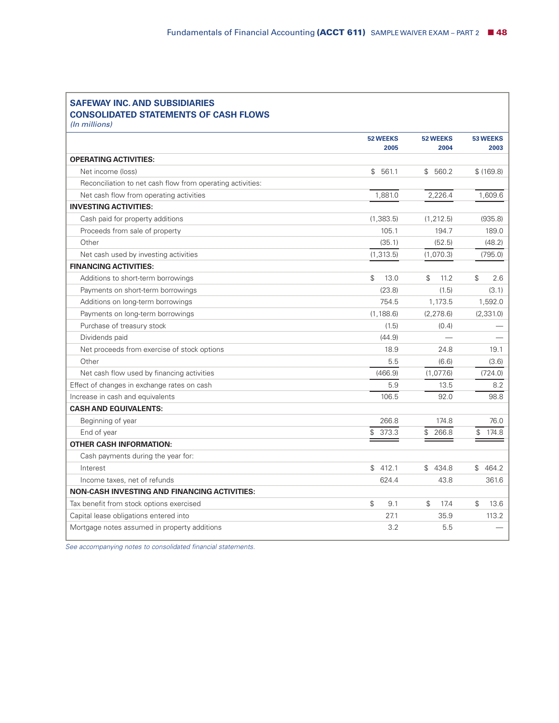| <b>SAFEWAY INC. AND SUBSIDIARIES</b><br><b>CONSOLIDATED STATEMENTS OF CASH FLOWS</b><br>(In millions) |                 |                       |                       |
|-------------------------------------------------------------------------------------------------------|-----------------|-----------------------|-----------------------|
|                                                                                                       | <b>52 WEEKS</b> | <b>52 WEEKS</b>       | <b>53 WEEKS</b>       |
| <b>OPERATING ACTIVITIES:</b>                                                                          | 2005            | 2004                  | 2003                  |
| Net income (loss)                                                                                     | \$561.1         | \$560.2               | \$(169.8)             |
| Reconciliation to net cash flow from operating activities:                                            |                 |                       |                       |
| Net cash flow from operating activities                                                               | 1,881.0         | 2,226.4               | 1,609.6               |
| <b>INVESTING ACTIVITIES:</b>                                                                          |                 |                       |                       |
| Cash paid for property additions                                                                      | (1,383.5)       | (1, 212.5)            | (935.8)               |
| Proceeds from sale of property                                                                        | 105.1           | 194.7                 | 189.0                 |
| Other                                                                                                 | (35.1)          | (52.5)                | (48.2)                |
| Net cash used by investing activities                                                                 | (1, 313.5)      | (1,070.3)             | (795.0)               |
| <b>FINANCING ACTIVITIES:</b>                                                                          |                 |                       |                       |
| Additions to short-term borrowings                                                                    | \$<br>13.0      | $\mathcal{L}$<br>11.2 | $\mathbb S$<br>2.6    |
| Payments on short-term borrowings                                                                     | (23.8)          | (1.5)                 | (3.1)                 |
| Additions on long-term borrowings                                                                     | 754.5           | 1,173.5               | 1,592.0               |
| Payments on long-term borrowings                                                                      | (1, 188.6)      | (2, 278.6)            | (2, 331.0)            |
| Purchase of treasury stock                                                                            | (1.5)           | (0.4)                 |                       |
| Dividends paid                                                                                        | (44.9)          |                       |                       |
| Net proceeds from exercise of stock options                                                           | 18.9            | 24.8                  | 19.1                  |
| Other                                                                                                 | 5.5             | (6.6)                 | (3.6)                 |
| Net cash flow used by financing activities                                                            | (466.9)         | (1,077.6)             | (724.0)               |
| Effect of changes in exchange rates on cash                                                           | 5.9             | 13.5                  | 8.2                   |
| Increase in cash and equivalents                                                                      | 106.5           | 92.0                  | 98.8                  |
| <b>CASH AND EQUIVALENTS:</b>                                                                          |                 |                       |                       |
| Beginning of year                                                                                     | 266.8           | 174.8                 | 76.0                  |
| End of year                                                                                           | \$<br>373.3     | \$266.8               | $\mathbb{S}$<br>174.8 |
| <b>OTHER CASH INFORMATION:</b>                                                                        |                 |                       |                       |
| Cash payments during the year for:                                                                    |                 |                       |                       |
| Interest                                                                                              | \$412.1         | \$434.8               | \$464.2               |
| Income taxes, net of refunds                                                                          | 624.4           | 43.8                  | 361.6                 |
| <b>NON-CASH INVESTING AND FINANCING ACTIVITIES:</b>                                                   |                 |                       |                       |
| Tax benefit from stock options exercised                                                              | \$<br>9.1       | \$<br>17.4            | \$<br>13.6            |
| Capital lease obligations entered into                                                                | 27.1            | 35.9                  | 113.2                 |
| Mortgage notes assumed in property additions                                                          | 3.2             | 5.5                   |                       |

*See accompanying notes to consolidated financial statements.*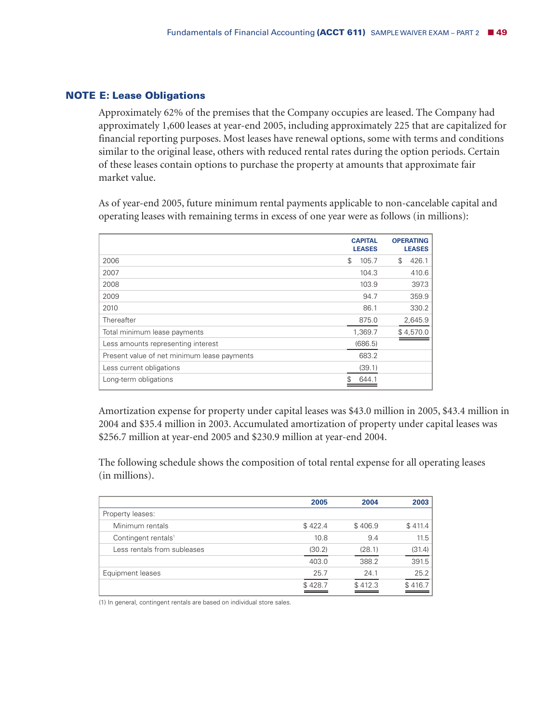#### **NOTE E: Lease Obligations**

Approximately 62% of the premises that the Company occupies are leased. The Company had approximately 1,600 leases at year-end 2005, including approximately 225 that are capitalized for financial reporting purposes. Most leases have renewal options, some with terms and conditions similar to the original lease, others with reduced rental rates during the option periods. Certain of these leases contain options to purchase the property at amounts that approximate fair market value.

As of year-end 2005, future minimum rental payments applicable to non-cancelable capital and operating leases with remaining terms in excess of one year were as follows (in millions):

|                                             | <b>CAPITAL</b><br><b>LEASES</b> | <b>OPERATING</b><br><b>LEASES</b> |
|---------------------------------------------|---------------------------------|-----------------------------------|
| 2006                                        | \$<br>105.7                     | \$<br>426.1                       |
| 2007                                        | 104.3                           | 410.6                             |
| 2008                                        | 103.9                           | 397.3                             |
| 2009                                        | 94.7                            | 359.9                             |
| 2010                                        | 86.1                            | 330.2                             |
| Thereafter                                  | 875.0                           | 2,645.9                           |
| Total minimum lease payments                | 1,369.7                         | \$4,570.0                         |
| Less amounts representing interest          | (686.5)                         |                                   |
| Present value of net minimum lease payments | 683.2                           |                                   |
| Less current obligations                    | (39.1)                          |                                   |
| Long-term obligations                       | 644                             |                                   |

Amortization expense for property under capital leases was \$43.0 million in 2005, \$43.4 million in 2004 and \$35.4 million in 2003. Accumulated amortization of property under capital leases was \$256.7 million at year-end 2005 and \$230.9 million at year-end 2004.

The following schedule shows the composition of total rental expense for all operating leases (in millions).

|                                 | 2005    | 2004    | 2003    |
|---------------------------------|---------|---------|---------|
| Property leases:                |         |         |         |
| Minimum rentals                 | \$422.4 | \$406.9 | \$411.4 |
| Contingent rentals <sup>1</sup> | 10.8    | 9.4     | 11.5    |
| Less rentals from subleases     | (30.2)  | (28.1)  | (31.4)  |
|                                 | 403.0   | 388.2   | 391.5   |
| Equipment leases                | 25.7    | 24.1    | 25.2    |
|                                 | \$428.7 | \$412.3 | \$416.7 |

(1) In general, contingent rentals are based on individual store sales.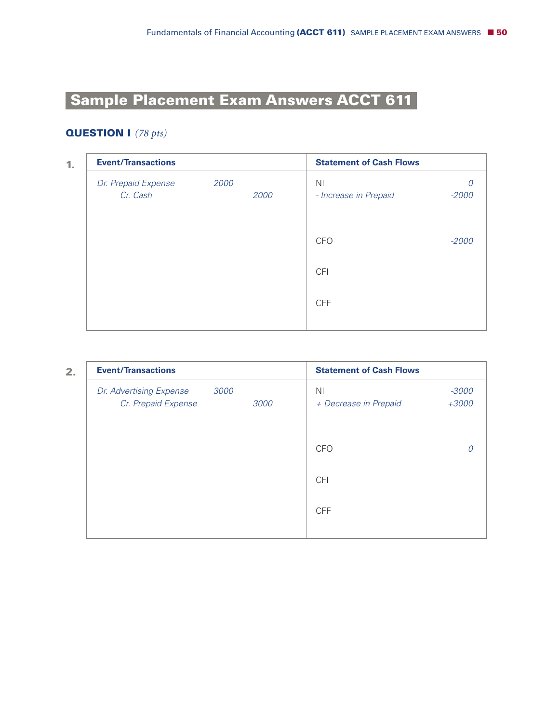# **Sample Placement Exam Answers ACCT 611-**

# **QUESTION I** *(78 pts)*

| 1. | <b>Event/Transactions</b>       |      |      | <b>Statement of Cash Flows</b>          |         |
|----|---------------------------------|------|------|-----------------------------------------|---------|
|    | Dr. Prepaid Expense<br>Cr. Cash | 2000 | 2000 | N <sub>1</sub><br>- Increase in Prepaid | $-2000$ |
|    |                                 |      |      | CFO                                     | $-2000$ |
|    |                                 |      |      | <b>CFI</b>                              |         |
|    |                                 |      |      | <b>CFF</b>                              |         |
|    |                                 |      |      |                                         |         |

**2.**

| <b>Event/Transactions</b>                              |      | <b>Statement of Cash Flows</b> |                    |
|--------------------------------------------------------|------|--------------------------------|--------------------|
| 3000<br>Dr. Advertising Expense<br>Cr. Prepaid Expense | 3000 | ΝI<br>+ Decrease in Prepaid    | $-3000$<br>$+3000$ |
|                                                        |      | <b>CFO</b>                     | 0                  |
|                                                        |      | <b>CFI</b>                     |                    |
|                                                        |      | <b>CFF</b>                     |                    |
|                                                        |      |                                |                    |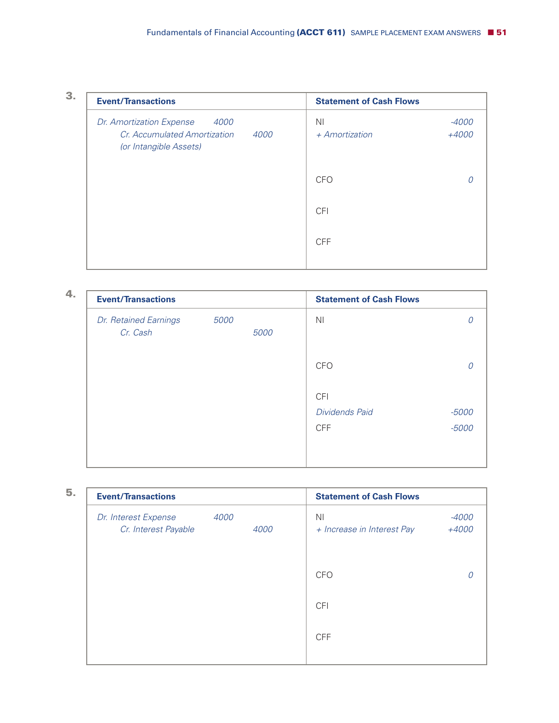| ٠ | ۰, |  |
|---|----|--|
|   |    |  |
|   |    |  |

| <b>Event/Transactions</b>                                                                                 | <b>Statement of Cash Flows</b>     |                  |
|-----------------------------------------------------------------------------------------------------------|------------------------------------|------------------|
| <i>4000</i><br>Dr. Amortization Expense<br>Cr. Accumulated Amortization<br>4000<br>(or Intangible Assets) | N <sub>1</sub><br>$+$ Amortization | $-4000$<br>+4000 |
|                                                                                                           | <b>CFO</b>                         |                  |
|                                                                                                           | <b>CFI</b>                         |                  |
|                                                                                                           | <b>CFF</b>                         |                  |
|                                                                                                           |                                    |                  |

| 4. | <b>Event/Transactions</b>         |      |      | <b>Statement of Cash Flows</b> |         |
|----|-----------------------------------|------|------|--------------------------------|---------|
|    | Dr. Retained Earnings<br>Cr. Cash | 5000 | 5000 | N <sub>1</sub>                 |         |
|    |                                   |      |      | <b>CFO</b>                     |         |
|    |                                   |      |      | <b>CFI</b>                     |         |
|    |                                   |      |      | <b>Dividends Paid</b>          | -5000   |
|    |                                   |      |      | <b>CFF</b>                     | $-5000$ |
|    |                                   |      |      |                                |         |
|    |                                   |      |      |                                |         |

| <b>Event/Transactions</b>                    |      |      | <b>Statement of Cash Flows</b>               |                  |
|----------------------------------------------|------|------|----------------------------------------------|------------------|
| Dr. Interest Expense<br>Cr. Interest Payable | 4000 | 4000 | N <sub>1</sub><br>+ Increase in Interest Pay | $-4000$<br>+4000 |
|                                              |      |      | CFO                                          |                  |
|                                              |      |      | <b>CFI</b>                                   |                  |
|                                              |      |      | <b>CFF</b>                                   |                  |
|                                              |      |      |                                              |                  |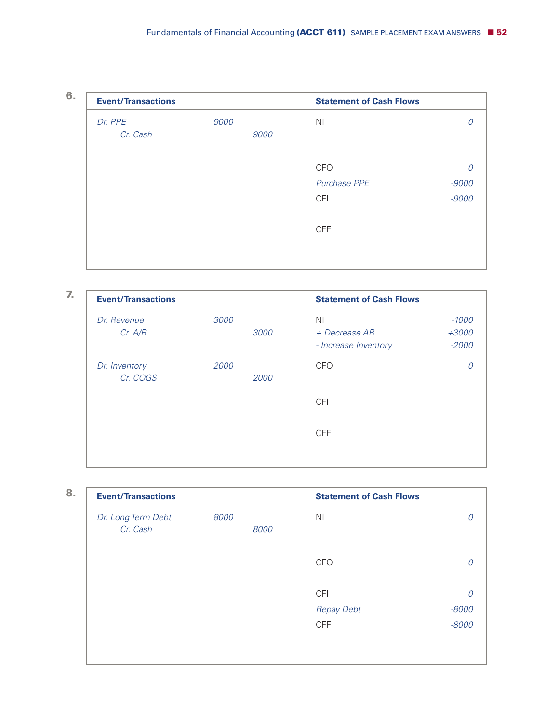| ۰. |  |  |
|----|--|--|
| ٠  |  |  |
|    |  |  |

| <b>Event/Transactions</b> |      | <b>Statement of Cash Flows</b> |         |
|---------------------------|------|--------------------------------|---------|
| Dr. PPE                   | 9000 | N <sub>1</sub>                 |         |
| Cr. Cash                  | 9000 |                                |         |
|                           |      | <b>CFO</b>                     |         |
|                           |      | Purchase PPE                   | $-9000$ |
|                           |      | <b>CFI</b>                     | $-9000$ |
|                           |      | <b>CFF</b>                     |         |
|                           |      |                                |         |
|                           |      |                                |         |

| <b>Event/Transactions</b> |      |      | <b>Statement of Cash Flows</b>                          |                               |
|---------------------------|------|------|---------------------------------------------------------|-------------------------------|
| Dr. Revenue<br>Cr. A/R    | 3000 | 3000 | N <sub>1</sub><br>+ Decrease AR<br>- Increase Inventory | $-1000$<br>$+3000$<br>$-2000$ |
| Dr. Inventory<br>Cr. COGS | 2000 | 2000 | <b>CFO</b>                                              |                               |
|                           |      |      | <b>CFI</b>                                              |                               |
|                           |      |      | <b>CFF</b>                                              |                               |
|                           |      |      |                                                         |                               |

| <b>Event/Transactions</b>      |      |      | <b>Statement of Cash Flows</b> |         |
|--------------------------------|------|------|--------------------------------|---------|
| Dr. Long Term Debt<br>Cr. Cash | 8000 | 8000 | N <sub>l</sub>                 |         |
|                                |      |      | <b>CFO</b>                     |         |
|                                |      |      | <b>CFI</b>                     | 0       |
|                                |      |      | <b>Repay Debt</b>              | $-8000$ |
|                                |      |      | <b>CFF</b>                     | $-8000$ |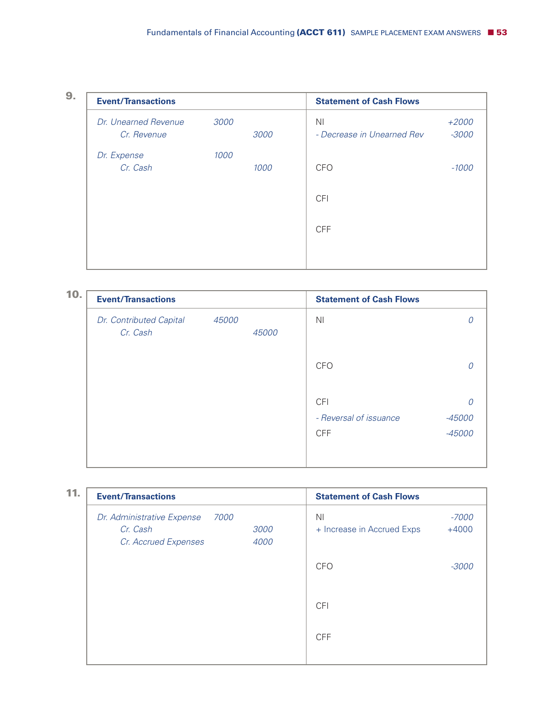|  | ٠<br>٠ |  |
|--|--------|--|
|  | ٠      |  |

| <b>Event/Transactions</b> |      |      | <b>Statement of Cash Flows</b> |         |
|---------------------------|------|------|--------------------------------|---------|
| Dr. Unearned Revenue      | 3000 |      | <b>NI</b>                      | $+2000$ |
| Cr. Revenue               |      | 3000 | - Decrease in Unearned Rev     | $-3000$ |
| Dr. Expense               | 1000 |      |                                |         |
| Cr. Cash                  |      | 1000 | <b>CFO</b>                     | $-1000$ |
|                           |      |      |                                |         |
|                           |      |      | <b>CFI</b>                     |         |
|                           |      |      | <b>CFF</b>                     |         |
|                           |      |      |                                |         |
|                           |      |      |                                |         |
|                           |      |      |                                |         |

| 10. | <b>Event/Transactions</b>           |       |       | <b>Statement of Cash Flows</b>       |                  |
|-----|-------------------------------------|-------|-------|--------------------------------------|------------------|
|     | Dr. Contributed Capital<br>Cr. Cash | 45000 | 45000 | N <sub>1</sub>                       |                  |
|     |                                     |       |       | <b>CFO</b>                           |                  |
|     |                                     |       |       | <b>CFI</b>                           |                  |
|     |                                     |       |       | - Reversal of issuance<br><b>CFF</b> | -45000<br>-45000 |
|     |                                     |       |       |                                      |                  |

| 11. | <b>Event/Transactions</b>                                              |              | <b>Statement of Cash Flows</b>               |                    |
|-----|------------------------------------------------------------------------|--------------|----------------------------------------------|--------------------|
|     | 7000<br>Dr. Administrative Expense<br>Cr. Cash<br>Cr. Accrued Expenses | 3000<br>4000 | N <sub>1</sub><br>+ Increase in Accrued Exps | $-7000$<br>$+4000$ |
|     |                                                                        |              | <b>CFO</b>                                   | $-3000$            |
|     |                                                                        |              | <b>CFI</b>                                   |                    |
|     |                                                                        |              | <b>CFF</b>                                   |                    |
|     |                                                                        |              |                                              |                    |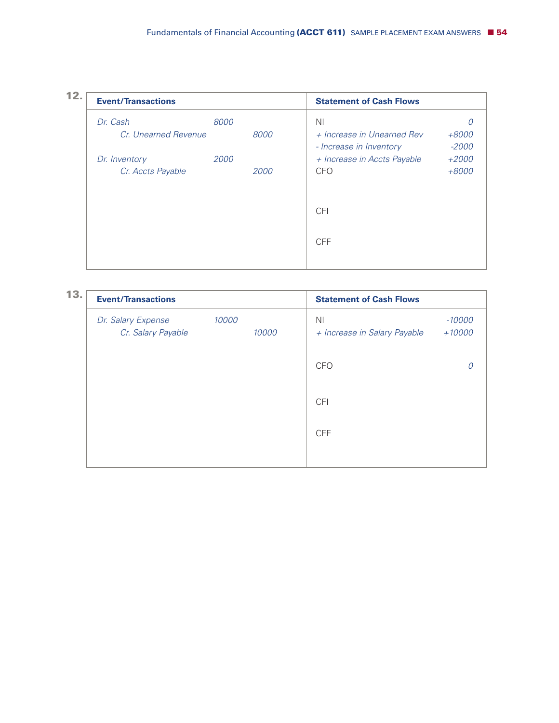

| 13. | <b>Event/Transactions</b>                |       |       | <b>Statement of Cash Flows</b>                 |                      |
|-----|------------------------------------------|-------|-------|------------------------------------------------|----------------------|
|     | Dr. Salary Expense<br>Cr. Salary Payable | 10000 | 10000 | N <sub>1</sub><br>+ Increase in Salary Payable | $-10000$<br>$+10000$ |
|     |                                          |       |       | <b>CFO</b>                                     |                      |
|     |                                          |       |       | <b>CFI</b>                                     |                      |
|     |                                          |       |       | <b>CFF</b>                                     |                      |
|     |                                          |       |       |                                                |                      |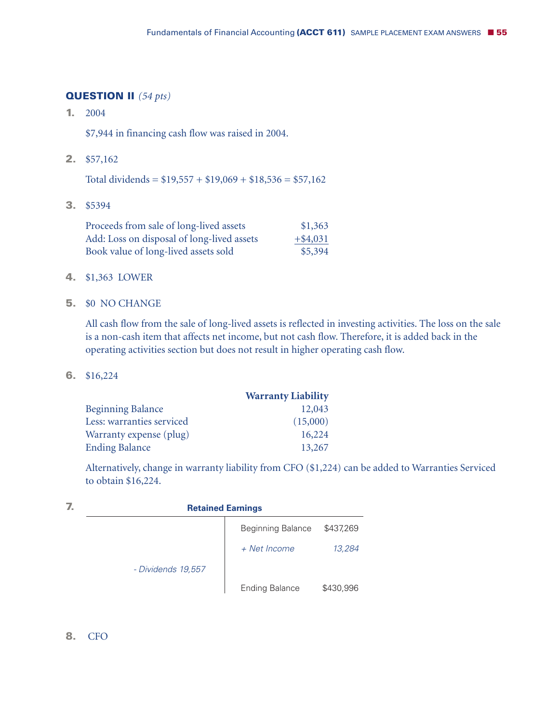# **QUESTION II** *(54 pts)*

**1.** 2004

\$7,944 in financing cash flow was raised in 2004.

**2.** \$57,162

Total dividends =  $$19,557 + $19,069 + $18,536 = $57,162$ 

**3.** \$5394

| Proceeds from sale of long-lived assets    | \$1,363     |
|--------------------------------------------|-------------|
| Add: Loss on disposal of long-lived assets | $+$ \$4,031 |
| Book value of long-lived assets sold       | \$5,394     |

- **4.** \$1,363 LOWER
- **5.** \$0 NO CHANGE

All cash flow from the sale of long-lived assets is reflected in investing activities. The loss on the sale is a non-cash item that affects net income, but not cash flow. Therefore, it is added back in the operating activities section but does not result in higher operating cash flow.

**6.** \$16,224

|                           | <b>Warranty Liability</b> |
|---------------------------|---------------------------|
| <b>Beginning Balance</b>  | 12,043                    |
| Less: warranties serviced | (15,000)                  |
| Warranty expense (plug)   | 16,224                    |
| <b>Ending Balance</b>     | 13,267                    |

Alternatively, change in warranty liability from CFO (\$1,224) can be added to Warranties Serviced to obtain \$16,224.

| <b>Retained Earnings</b> |                          |           |  |  |  |
|--------------------------|--------------------------|-----------|--|--|--|
|                          | <b>Beginning Balance</b> | \$437,269 |  |  |  |
|                          | + Net Income             | 13,284    |  |  |  |
| - Dividends 19,557       |                          |           |  |  |  |
|                          | <b>Ending Balance</b>    | \$430,996 |  |  |  |

**8.** CFO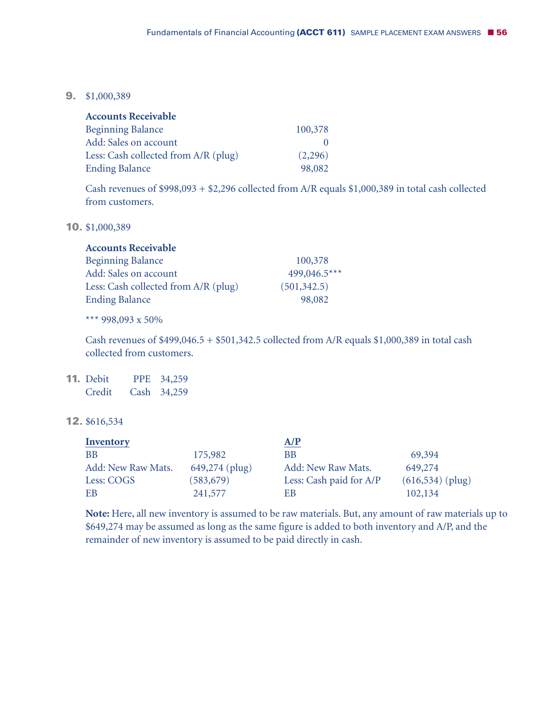**9.** \$1,000,389

| <b>Accounts Receivable</b>           |         |
|--------------------------------------|---------|
| <b>Beginning Balance</b>             | 100,378 |
| <b>Add: Sales on account</b>         |         |
| Less: Cash collected from A/R (plug) | (2,296) |
| <b>Ending Balance</b>                | 98,082  |

Cash revenues of \$998,093 + \$2,296 collected from A/R equals \$1,000,389 in total cash collected from customers.

**10.** \$1,000,389

| <b>Accounts Receivable</b>           |              |
|--------------------------------------|--------------|
| <b>Beginning Balance</b>             | 100,378      |
| Add: Sales on account                | 499,046.5*** |
| Less: Cash collected from A/R (plug) | (501, 342.5) |
| <b>Ending Balance</b>                | 98,082       |

\*\*\* 998,093 x 50%

Cash revenues of \$499,046.5 + \$501,342.5 collected from A/R equals \$1,000,389 in total cash collected from customers.

**11.** Debit PPE 34,259 Credit Cash 34,259

## **12.** \$616,534

| <b>Inventory</b>   |                | A/P                     |                     |
|--------------------|----------------|-------------------------|---------------------|
| <b>BB</b>          | 175,982        | BB                      | 69,394              |
| Add: New Raw Mats. | 649,274 (plug) | Add: New Raw Mats.      | 649,274             |
| Less: COGS         | (583, 679)     | Less: Cash paid for A/P | $(616, 534)$ (plug) |
| EB                 | 241,577        | EВ                      | 102,134             |

**Note:** Here, all new inventory is assumed to be raw materials. But, any amount of raw materials up to \$649,274 may be assumed as long as the same figure is added to both inventory and A/P, and the remainder of new inventory is assumed to be paid directly in cash.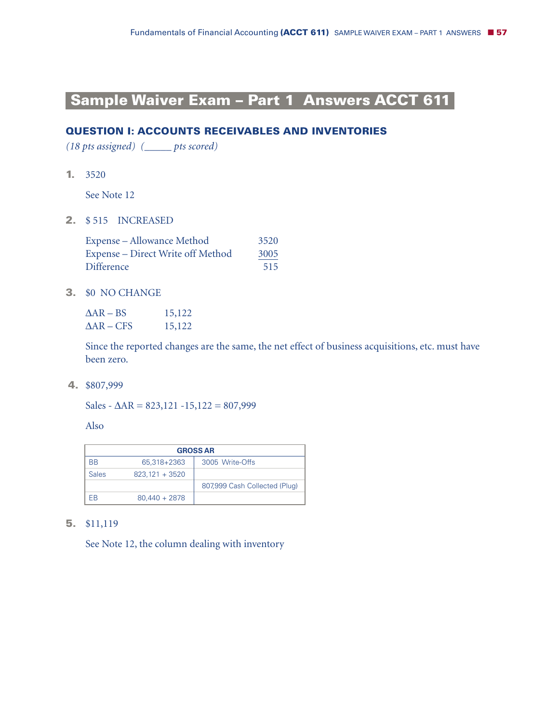# **Sample Waiver Exam – Part 1 Answers ACCT 611-**

# **QUESTION I: ACCOUNTS RECEIVABLES AND INVENTORIES**

*(18 pts assigned) (\_\_\_\_\_ pts scored)*

**1.** 3520

See Note 12

**2.** \$ 515 INCREASED

| <b>Expense</b> – Allowance Method        | 3520 |
|------------------------------------------|------|
| <b>Expense – Direct Write off Method</b> | 3005 |
| <b>Difference</b>                        | 515  |

**3.** \$0 NO CHANGE

| $\Delta AR - BS$  | 15,122 |
|-------------------|--------|
| $\Delta$ AR – CFS | 15,122 |

Since the reported changes are the same, the net effect of business acquisitions, etc. must have been zero.

**4.** \$807,999

Sales -  $\Delta$ AR = 823,121 -15,122 = 807,999

Also

| <b>GROSS AR</b> |                  |                               |
|-----------------|------------------|-------------------------------|
| <b>BB</b>       | 65.318+2363      | 3005 Write-Offs               |
| <b>Sales</b>    | $823.121 + 3520$ |                               |
|                 |                  | 807,999 Cash Collected (Plug) |
| FR              | $80,440 + 2878$  |                               |

#### **5.** \$11,119

See Note 12, the column dealing with inventory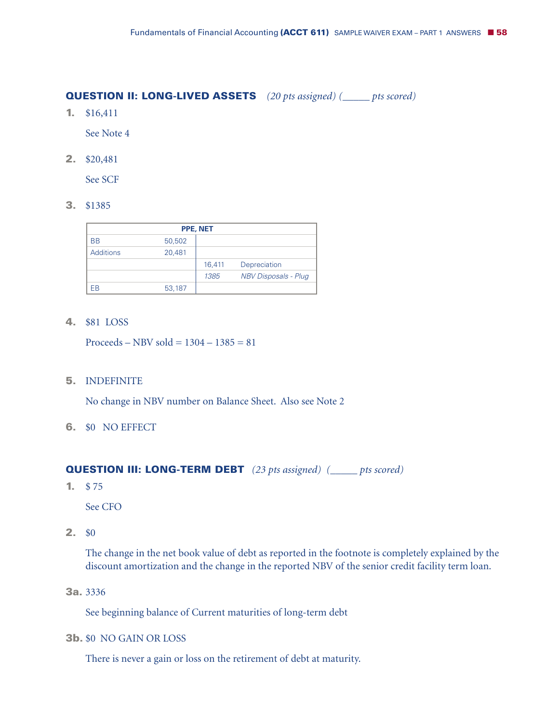# **QUESTION II: LONG-LIVED ASSETS** *(20 pts assigned) (\_\_\_\_\_ pts scored)*

**1.** \$16,411

See Note 4

**2.** \$20,481

See SCF

**3.** \$1385

| PPE, NET         |        |        |                             |
|------------------|--------|--------|-----------------------------|
| <b>BB</b>        | 50,502 |        |                             |
| <b>Additions</b> | 20,481 |        |                             |
|                  |        | 16,411 | Depreciation                |
|                  |        | 1385   | <b>NBV Disposals - Plug</b> |
| FR               | 53,187 |        |                             |

**4.** \$81 LOSS

Proceeds – NBV sold =  $1304 - 1385 = 81$ 

**5.** INDEFINITE

No change in NBV number on Balance Sheet. Also see Note 2

**6.** \$0 NO EFFECT

**QUESTION III: LONG-TERM DEBT** *(23 pts assigned) (\_\_\_\_\_ pts scored)*

**1.** \$ 75

See CFO

**2.** \$0

The change in the net book value of debt as reported in the footnote is completely explained by the discount amortization and the change in the reported NBV of the senior credit facility term loan.

**3a.** 3336

See beginning balance of Current maturities of long-term debt

**3b.** \$0 NO GAIN OR LOSS

There is never a gain or loss on the retirement of debt at maturity.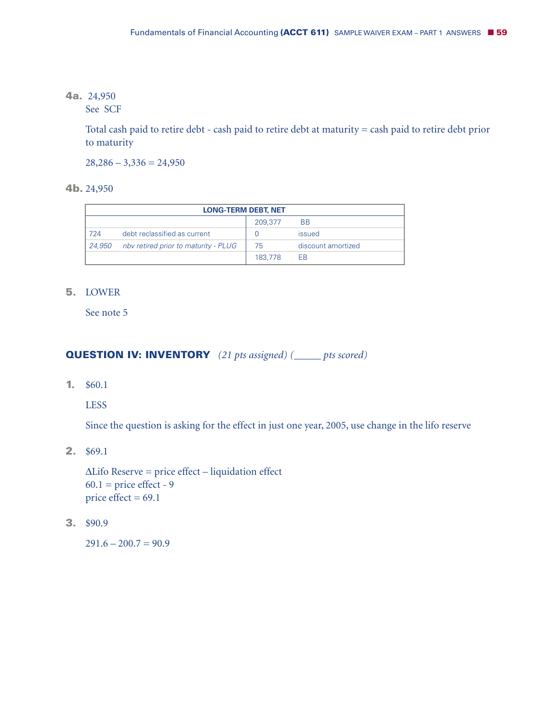# **4a.** 24,950

See SCF

Total cash paid to retire debt - cash paid to retire debt at maturity = cash paid to retire debt prior to maturity

 $28,286 - 3,336 = 24,950$ 

**4b.** 24,950

| <b>LONG-TERM DEBT, NET</b> |                                      |         |                    |
|----------------------------|--------------------------------------|---------|--------------------|
|                            |                                      | 209,377 | <b>BB</b>          |
| 724                        | debt reclassified as current         |         | issued             |
| 24,950                     | nby retired prior to maturity - PLUG | 75      | discount amortized |
|                            |                                      | 183,778 | <b>FB</b>          |

#### **5.** LOWER

See note 5

#### **QUESTION IV: INVENTORY** *(21 pts assigned) (\_\_\_\_\_ pts scored)*

**1.** \$60.1

LESS

Since the question is asking for the effect in just one year, 2005, use change in the lifo reserve

**2.** \$69.1

 $\Delta$ Lifo Reserve = price effect – liquidation effect  $60.1$  = price effect - 9 price effect  $= 69.1$ 

**3.** \$90.9

 $291.6 - 200.7 = 90.9$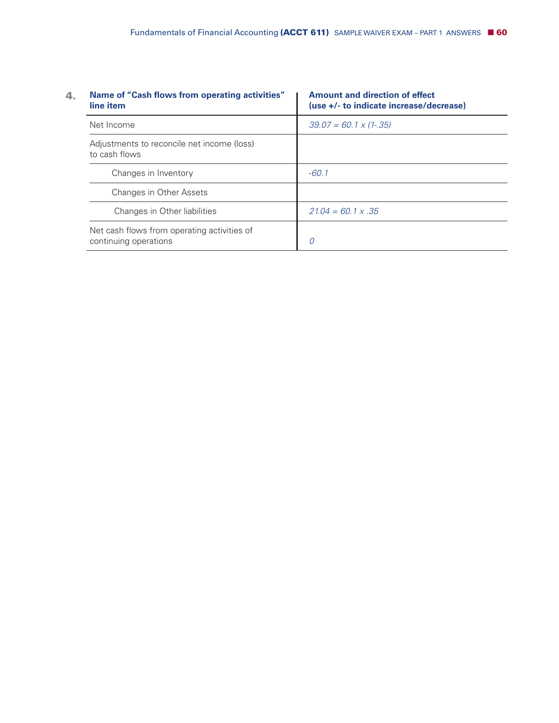| Name of "Cash flows from operating activities"<br>line item          | <b>Amount and direction of effect</b><br>(use +/- to indicate increase/decrease) |
|----------------------------------------------------------------------|----------------------------------------------------------------------------------|
| Net Income                                                           | $39.07 = 60.1 \times (1-.35)$                                                    |
| Adjustments to reconcile net income (loss)<br>to cash flows          |                                                                                  |
| Changes in Inventory                                                 | $-60.1$                                                                          |
| Changes in Other Assets                                              |                                                                                  |
| Changes in Other liabilities                                         | $21.04 = 60.1 \times .35$                                                        |
| Net cash flows from operating activities of<br>continuing operations | 0                                                                                |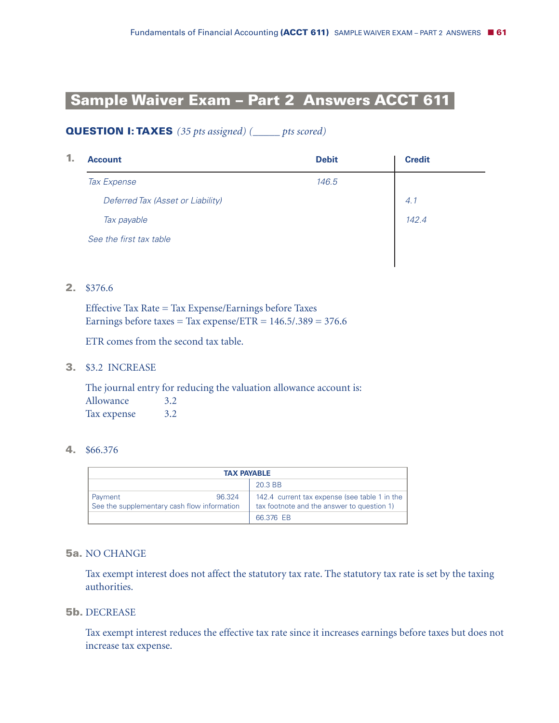# **Sample Waiver Exam – Part 2 Answers ACCT 611-**

# **QUESTION I: TAXES** *(35 pts assigned) (\_\_\_\_\_ pts scored)*

| 1. | <b>Account</b>                    | <b>Debit</b> | <b>Credit</b> |
|----|-----------------------------------|--------------|---------------|
|    | Tax Expense                       | 146.5        |               |
|    | Deferred Tax (Asset or Liability) |              | 4.1           |
|    | Tax payable                       |              | 142.4         |
|    | See the first tax table           |              |               |
|    |                                   |              |               |

# **2.** \$376.6

Effective Tax Rate = Tax Expense/Earnings before Taxes Earnings before taxes = Tax expense/ETR =  $146.5/0.389 = 376.6$ 

ETR comes from the second tax table.

#### **3.** \$3.2 INCREASE

The journal entry for reducing the valuation allowance account is: Allowance 3.2 Tax expense 3.2

#### **4.** \$66.376

| <b>TAX PAYABLE</b>                                               |                                                                                             |
|------------------------------------------------------------------|---------------------------------------------------------------------------------------------|
| 20.3 BB                                                          |                                                                                             |
| 96.324<br>Payment<br>See the supplementary cash flow information | 142.4 current tax expense (see table 1 in the<br>tax footnote and the answer to question 1) |
|                                                                  | 66.376 EB                                                                                   |

# **5a.** NO CHANGE

Tax exempt interest does not affect the statutory tax rate. The statutory tax rate is set by the taxing authorities.

#### **5b.** DECREASE

Tax exempt interest reduces the effective tax rate since it increases earnings before taxes but does not increase tax expense.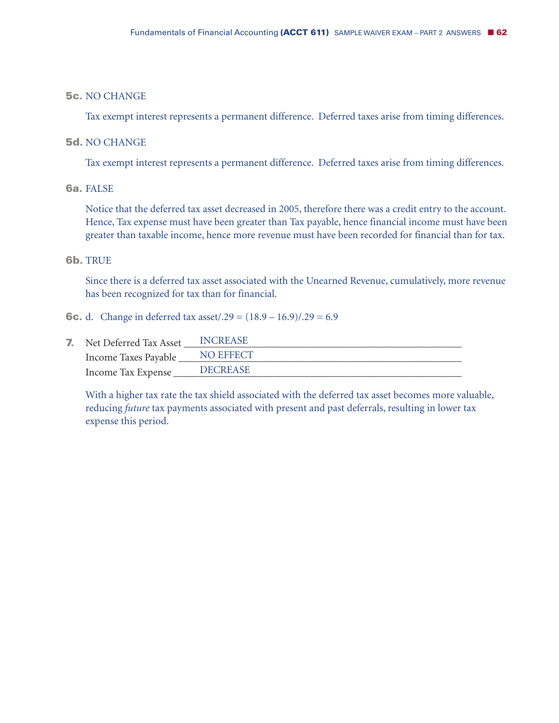# **5c.** NO CHANGE

Tax exempt interest represents a permanent difference. Deferred taxes arise from timing differences.

#### **5d.** NO CHANGE

Tax exempt interest represents a permanent difference. Deferred taxes arise from timing differences.

#### **6a.** FALSE

Notice that the deferred tax asset decreased in 2005, therefore there was a credit entry to the account. Hence, Tax expense must have been greater than Tax payable, hence financial income must have been greater than taxable income, hence more revenue must have been recorded for financial than for tax.

#### **6b.** TRUE

Since there is a deferred tax asset associated with the Unearned Revenue, cumulatively, more revenue has been recognized for tax than for financial.

**6c.** d. Change in deferred tax asset/.29 =  $(18.9 - 16.9)/.29 = 6.9$ 

| <b>7.</b> Net Deferred Tax Asset | <b>INCREASE</b> |
|----------------------------------|-----------------|
| Income Taxes Payable             | NO EFFECT       |
| Income Tax Expense               | <b>DECREASE</b> |

With a higher tax rate the tax shield associated with the deferred tax asset becomes more valuable, reducing *future* tax payments associated with present and past deferrals, resulting in lower tax expense this period.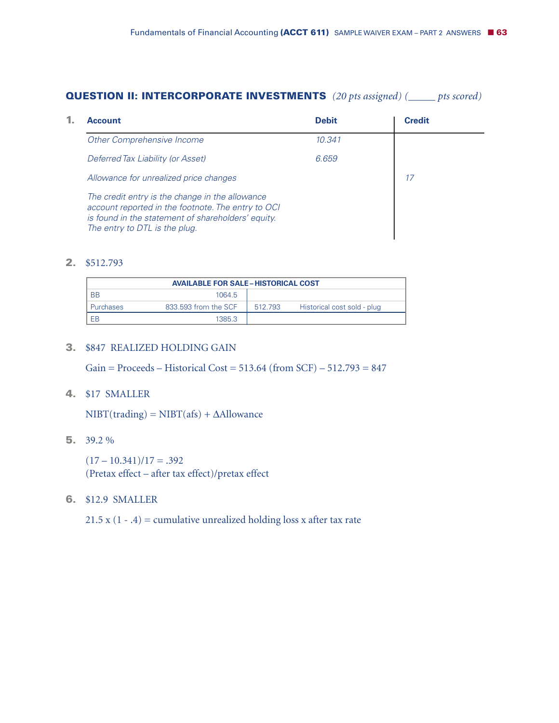#### **QUESTION II: INTERCORPORATE INVESTMENTS** *(20 pts assigned) (\_\_\_\_\_ pts scored)*

| <b>Account</b>                                                                                                                                                                               | <b>Debit</b> | <b>Credit</b> |
|----------------------------------------------------------------------------------------------------------------------------------------------------------------------------------------------|--------------|---------------|
| Other Comprehensive Income                                                                                                                                                                   | 10.341       |               |
| Deferred Tax Liability (or Asset)                                                                                                                                                            | 6.659        |               |
| Allowance for unrealized price changes                                                                                                                                                       |              | 17            |
| The credit entry is the change in the allowance<br>account reported in the footnote. The entry to OCI<br>is found in the statement of shareholders' equity.<br>The entry to DTL is the plug. |              |               |

#### **2.** \$512.793

| <b>AVAILABLE FOR SALE - HISTORICAL COST</b> |                      |         |                             |
|---------------------------------------------|----------------------|---------|-----------------------------|
| <b>BB</b>                                   | 1064 <sub>5</sub>    |         |                             |
| <b>Purchases</b>                            | 833.593 from the SCF | 512.793 | Historical cost sold - plug |
| EB                                          | 1385.3               |         |                             |

#### **3.** \$847 REALIZED HOLDING GAIN

Gain = Proceeds – Historical Cost =  $513.64$  (from SCF) –  $512.793 = 847$ 

# **4.** \$17 SMALLER

 $NIBT(traing) = NIBT(afs) + \Delta$ Allowance

#### **5.** 39.2 %

 $(17 - 10.341)/17 = .392$ (Pretax effect – after tax effect)/pretax effect

## **6.** \$12.9 SMALLER

21.5 x  $(1 - .4)$  = cumulative unrealized holding loss x after tax rate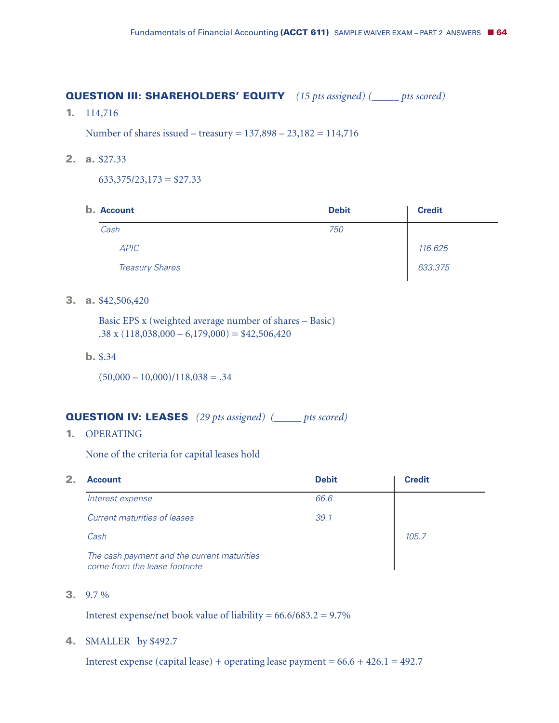#### **QUESTION III: SHAREHOLDERS' EQUITY** *(15 pts assigned) (\_\_\_\_\_ pts scored)*

**1.** 114,716

Number of shares issued – treasury = 137,898 – 23,182 = 114,716

**2. a.** \$27.33

 $633,375/23,173 = $27.33$ 

| <b>b.</b> Account |                        | <b>Debit</b> | <b>Credit</b> |  |
|-------------------|------------------------|--------------|---------------|--|
| Cash              |                        | 750          |               |  |
| <b>APIC</b>       |                        |              | 116.625       |  |
|                   | <b>Treasury Shares</b> |              | 633.375       |  |

### **3. a.** \$42,506,420

Basic EPS x (weighted average number of shares – Basic)  $.38 \times (118,038,000 - 6,179,000) = $42,506,420$ 

**b.** \$.34

 $(50,000 - 10,000)/118,038 = .34$ 

# **QUESTION IV: LEASES** *(29 pts assigned) (\_\_\_\_\_ pts scored)*

**1.** OPERATING

None of the criteria for capital leases hold

| 2 | <b>Account</b>                                                              | <b>Debit</b> | <b>Credit</b> |
|---|-----------------------------------------------------------------------------|--------------|---------------|
|   | Interest expense                                                            | 66.6         |               |
|   | Current maturities of leases                                                | 39.1         |               |
|   | Cash                                                                        |              | 105.7         |
|   | The cash payment and the current maturities<br>come from the lease footnote |              |               |

**3.** 9.7 %

Interest expense/net book value of liability =  $66.6/683.2 = 9.7\%$ 

#### **4.** SMALLER by \$492.7

Interest expense (capital lease) + operating lease payment =  $66.6 + 426.1 = 492.7$